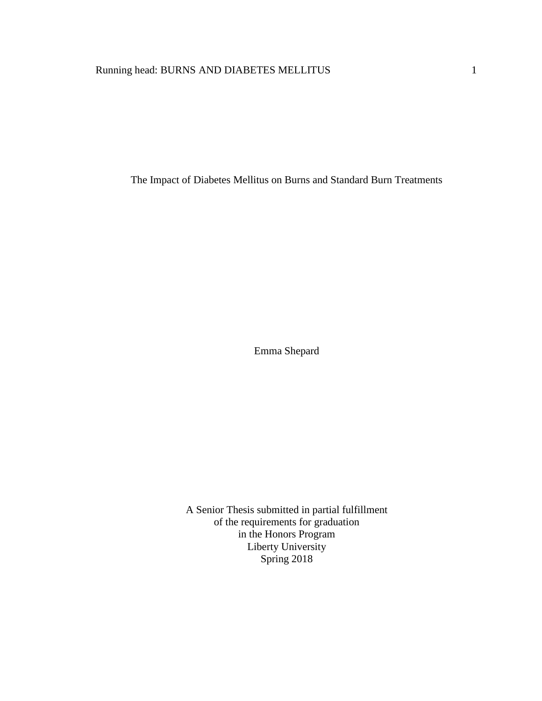# Running head: BURNS AND DIABETES MELLITUS 1

The Impact of Diabetes Mellitus on Burns and Standard Burn Treatments

Emma Shepard

A Senior Thesis submitted in partial fulfillment of the requirements for graduation in the Honors Program Liberty University Spring 2018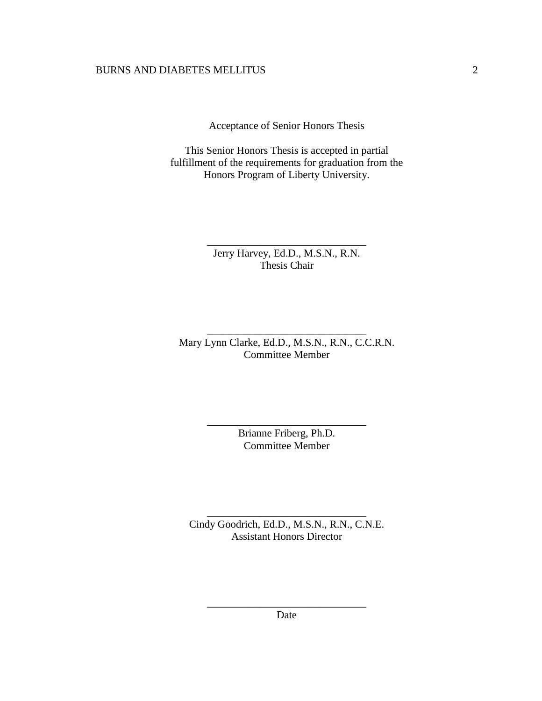Acceptance of Senior Honors Thesis

This Senior Honors Thesis is accepted in partial fulfillment of the requirements for graduation from the Honors Program of Liberty University.

> Jerry Harvey, Ed.D., M.S.N., R.N. Thesis Chair

\_\_\_\_\_\_\_\_\_\_\_\_\_\_\_\_\_\_\_\_\_\_\_\_\_\_\_\_\_\_

Mary Lynn Clarke, Ed.D., M.S.N., R.N., C.C.R.N. Committee Member

\_\_\_\_\_\_\_\_\_\_\_\_\_\_\_\_\_\_\_\_\_\_\_\_\_\_\_\_\_\_

Brianne Friberg, Ph.D. Committee Member

\_\_\_\_\_\_\_\_\_\_\_\_\_\_\_\_\_\_\_\_\_\_\_\_\_\_\_\_\_\_

Cindy Goodrich, Ed.D., M.S.N., R.N., C.N.E. Assistant Honors Director

\_\_\_\_\_\_\_\_\_\_\_\_\_\_\_\_\_\_\_\_\_\_\_\_\_\_\_\_\_\_

\_\_\_\_\_\_\_\_\_\_\_\_\_\_\_\_\_\_\_\_\_\_\_\_\_\_\_\_\_\_ Date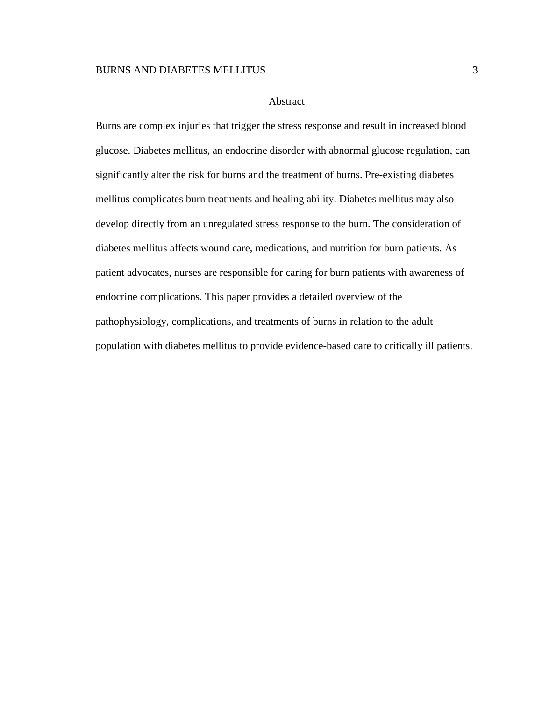### Abstract

Burns are complex injuries that trigger the stress response and result in increased blood glucose. Diabetes mellitus, an endocrine disorder with abnormal glucose regulation, can significantly alter the risk for burns and the treatment of burns. Pre-existing diabetes mellitus complicates burn treatments and healing ability. Diabetes mellitus may also develop directly from an unregulated stress response to the burn. The consideration of diabetes mellitus affects wound care, medications, and nutrition for burn patients. As patient advocates, nurses are responsible for caring for burn patients with awareness of endocrine complications. This paper provides a detailed overview of the pathophysiology, complications, and treatments of burns in relation to the adult population with diabetes mellitus to provide evidence-based care to critically ill patients.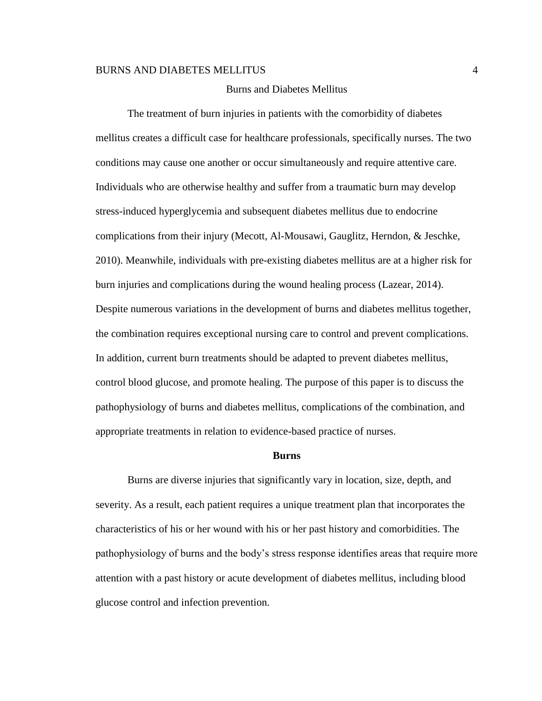# Burns and Diabetes Mellitus

The treatment of burn injuries in patients with the comorbidity of diabetes mellitus creates a difficult case for healthcare professionals, specifically nurses. The two conditions may cause one another or occur simultaneously and require attentive care. Individuals who are otherwise healthy and suffer from a traumatic burn may develop stress-induced hyperglycemia and subsequent diabetes mellitus due to endocrine complications from their injury (Mecott, Al-Mousawi, Gauglitz, Herndon, & Jeschke, 2010). Meanwhile, individuals with pre-existing diabetes mellitus are at a higher risk for burn injuries and complications during the wound healing process (Lazear, 2014). Despite numerous variations in the development of burns and diabetes mellitus together, the combination requires exceptional nursing care to control and prevent complications. In addition, current burn treatments should be adapted to prevent diabetes mellitus, control blood glucose, and promote healing. The purpose of this paper is to discuss the pathophysiology of burns and diabetes mellitus, complications of the combination, and appropriate treatments in relation to evidence-based practice of nurses.

#### **Burns**

Burns are diverse injuries that significantly vary in location, size, depth, and severity. As a result, each patient requires a unique treatment plan that incorporates the characteristics of his or her wound with his or her past history and comorbidities. The pathophysiology of burns and the body's stress response identifies areas that require more attention with a past history or acute development of diabetes mellitus, including blood glucose control and infection prevention.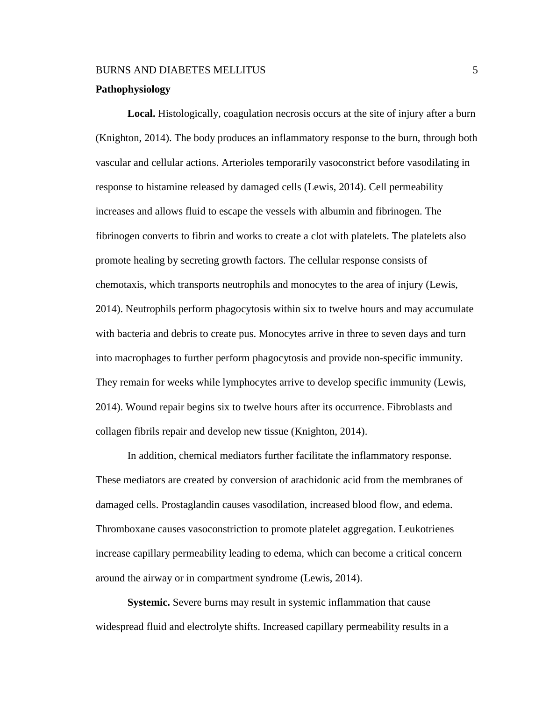### **Pathophysiology**

**Local.** Histologically, coagulation necrosis occurs at the site of injury after a burn (Knighton, 2014). The body produces an inflammatory response to the burn, through both vascular and cellular actions. Arterioles temporarily vasoconstrict before vasodilating in response to histamine released by damaged cells (Lewis, 2014). Cell permeability increases and allows fluid to escape the vessels with albumin and fibrinogen. The fibrinogen converts to fibrin and works to create a clot with platelets. The platelets also promote healing by secreting growth factors. The cellular response consists of chemotaxis, which transports neutrophils and monocytes to the area of injury (Lewis, 2014). Neutrophils perform phagocytosis within six to twelve hours and may accumulate with bacteria and debris to create pus. Monocytes arrive in three to seven days and turn into macrophages to further perform phagocytosis and provide non-specific immunity. They remain for weeks while lymphocytes arrive to develop specific immunity (Lewis, 2014). Wound repair begins six to twelve hours after its occurrence. Fibroblasts and collagen fibrils repair and develop new tissue (Knighton, 2014).

In addition, chemical mediators further facilitate the inflammatory response. These mediators are created by conversion of arachidonic acid from the membranes of damaged cells. Prostaglandin causes vasodilation, increased blood flow, and edema. Thromboxane causes vasoconstriction to promote platelet aggregation. Leukotrienes increase capillary permeability leading to edema, which can become a critical concern around the airway or in compartment syndrome (Lewis, 2014).

**Systemic.** Severe burns may result in systemic inflammation that cause widespread fluid and electrolyte shifts. Increased capillary permeability results in a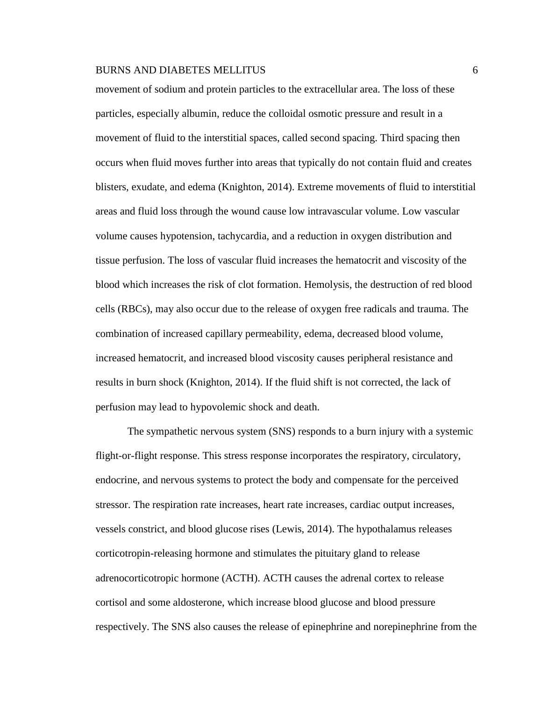movement of sodium and protein particles to the extracellular area. The loss of these particles, especially albumin, reduce the colloidal osmotic pressure and result in a movement of fluid to the interstitial spaces, called second spacing. Third spacing then occurs when fluid moves further into areas that typically do not contain fluid and creates blisters, exudate, and edema (Knighton, 2014). Extreme movements of fluid to interstitial areas and fluid loss through the wound cause low intravascular volume. Low vascular volume causes hypotension, tachycardia, and a reduction in oxygen distribution and tissue perfusion. The loss of vascular fluid increases the hematocrit and viscosity of the blood which increases the risk of clot formation. Hemolysis, the destruction of red blood cells (RBCs), may also occur due to the release of oxygen free radicals and trauma. The combination of increased capillary permeability, edema, decreased blood volume, increased hematocrit, and increased blood viscosity causes peripheral resistance and results in burn shock (Knighton, 2014). If the fluid shift is not corrected, the lack of perfusion may lead to hypovolemic shock and death.

The sympathetic nervous system (SNS) responds to a burn injury with a systemic flight-or-flight response. This stress response incorporates the respiratory, circulatory, endocrine, and nervous systems to protect the body and compensate for the perceived stressor. The respiration rate increases, heart rate increases, cardiac output increases, vessels constrict, and blood glucose rises (Lewis, 2014). The hypothalamus releases corticotropin-releasing hormone and stimulates the pituitary gland to release adrenocorticotropic hormone (ACTH). ACTH causes the adrenal cortex to release cortisol and some aldosterone, which increase blood glucose and blood pressure respectively. The SNS also causes the release of epinephrine and norepinephrine from the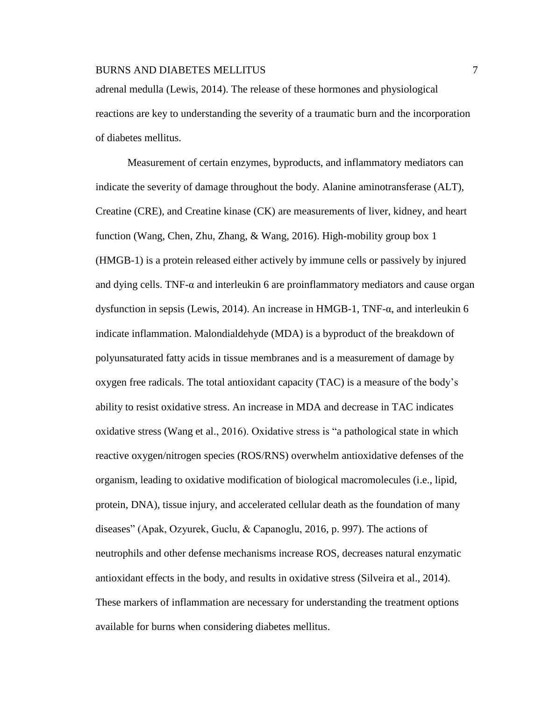adrenal medulla (Lewis, 2014). The release of these hormones and physiological reactions are key to understanding the severity of a traumatic burn and the incorporation of diabetes mellitus.

Measurement of certain enzymes, byproducts, and inflammatory mediators can indicate the severity of damage throughout the body. Alanine aminotransferase (ALT), Creatine (CRE), and Creatine kinase (CK) are measurements of liver, kidney, and heart function (Wang, Chen, Zhu, Zhang, & Wang, 2016). High-mobility group box 1 (HMGB-1) is a protein released either actively by immune cells or passively by injured and dying cells. TNF-α and interleukin 6 are proinflammatory mediators and cause organ dysfunction in sepsis (Lewis, 2014). An increase in HMGB-1, TNF-α, and interleukin 6 indicate inflammation. Malondialdehyde (MDA) is a byproduct of the breakdown of polyunsaturated fatty acids in tissue membranes and is a measurement of damage by oxygen free radicals. The total antioxidant capacity (TAC) is a measure of the body's ability to resist oxidative stress. An increase in MDA and decrease in TAC indicates oxidative stress (Wang et al., 2016). Oxidative stress is "a pathological state in which reactive oxygen/nitrogen species (ROS/RNS) overwhelm antioxidative defenses of the organism, leading to oxidative modification of biological macromolecules (i.e., lipid, protein, DNA), tissue injury, and accelerated cellular death as the foundation of many diseases" (Apak, Ozyurek, Guclu, & Capanoglu, 2016, p. 997). The actions of neutrophils and other defense mechanisms increase ROS, decreases natural enzymatic antioxidant effects in the body, and results in oxidative stress (Silveira et al., 2014). These markers of inflammation are necessary for understanding the treatment options available for burns when considering diabetes mellitus.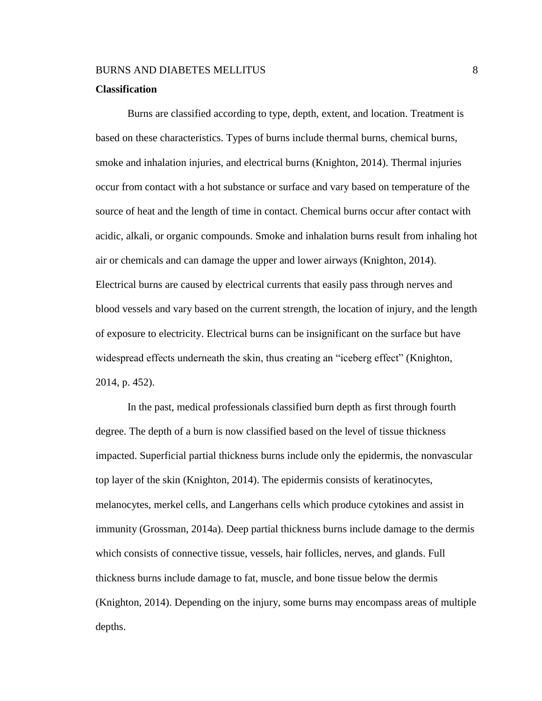# **Classification**

Burns are classified according to type, depth, extent, and location. Treatment is based on these characteristics. Types of burns include thermal burns, chemical burns, smoke and inhalation injuries, and electrical burns (Knighton, 2014). Thermal injuries occur from contact with a hot substance or surface and vary based on temperature of the source of heat and the length of time in contact. Chemical burns occur after contact with acidic, alkali, or organic compounds. Smoke and inhalation burns result from inhaling hot air or chemicals and can damage the upper and lower airways (Knighton, 2014). Electrical burns are caused by electrical currents that easily pass through nerves and blood vessels and vary based on the current strength, the location of injury, and the length of exposure to electricity. Electrical burns can be insignificant on the surface but have widespread effects underneath the skin, thus creating an "iceberg effect" (Knighton, 2014, p. 452).

In the past, medical professionals classified burn depth as first through fourth degree. The depth of a burn is now classified based on the level of tissue thickness impacted. Superficial partial thickness burns include only the epidermis, the nonvascular top layer of the skin (Knighton, 2014). The epidermis consists of keratinocytes, melanocytes, merkel cells, and Langerhans cells which produce cytokines and assist in immunity (Grossman, 2014a). Deep partial thickness burns include damage to the dermis which consists of connective tissue, vessels, hair follicles, nerves, and glands. Full thickness burns include damage to fat, muscle, and bone tissue below the dermis (Knighton, 2014). Depending on the injury, some burns may encompass areas of multiple depths.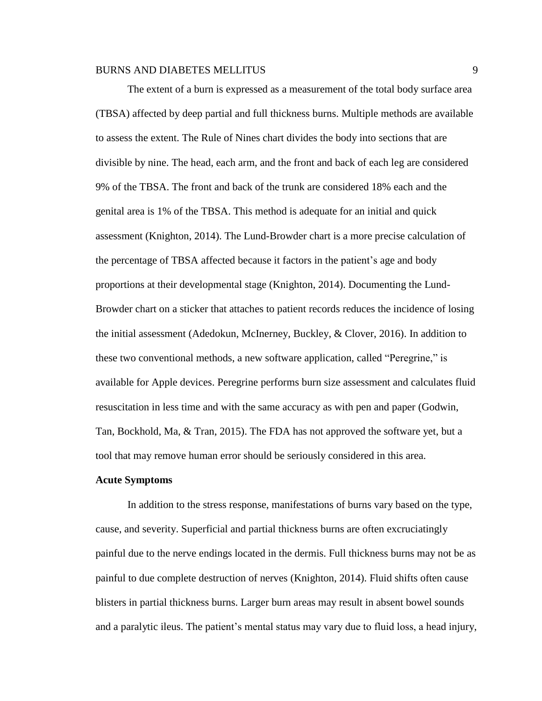The extent of a burn is expressed as a measurement of the total body surface area (TBSA) affected by deep partial and full thickness burns. Multiple methods are available to assess the extent. The Rule of Nines chart divides the body into sections that are divisible by nine. The head, each arm, and the front and back of each leg are considered 9% of the TBSA. The front and back of the trunk are considered 18% each and the genital area is 1% of the TBSA. This method is adequate for an initial and quick assessment (Knighton, 2014). The Lund-Browder chart is a more precise calculation of the percentage of TBSA affected because it factors in the patient's age and body proportions at their developmental stage (Knighton, 2014). Documenting the Lund-Browder chart on a sticker that attaches to patient records reduces the incidence of losing the initial assessment (Adedokun, McInerney, Buckley, & Clover, 2016). In addition to these two conventional methods, a new software application, called "Peregrine," is available for Apple devices. Peregrine performs burn size assessment and calculates fluid resuscitation in less time and with the same accuracy as with pen and paper (Godwin, Tan, Bockhold, Ma, & Tran, 2015). The FDA has not approved the software yet, but a tool that may remove human error should be seriously considered in this area.

#### **Acute Symptoms**

In addition to the stress response, manifestations of burns vary based on the type, cause, and severity. Superficial and partial thickness burns are often excruciatingly painful due to the nerve endings located in the dermis. Full thickness burns may not be as painful to due complete destruction of nerves (Knighton, 2014). Fluid shifts often cause blisters in partial thickness burns. Larger burn areas may result in absent bowel sounds and a paralytic ileus. The patient's mental status may vary due to fluid loss, a head injury,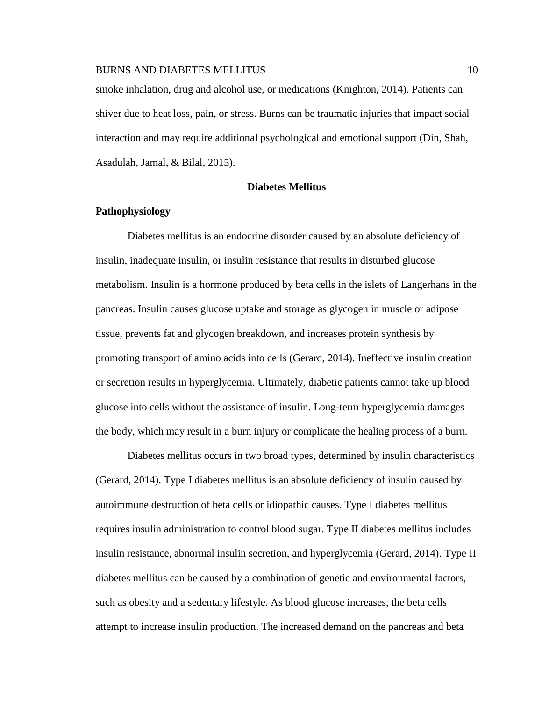smoke inhalation, drug and alcohol use, or medications (Knighton, 2014). Patients can shiver due to heat loss, pain, or stress. Burns can be traumatic injuries that impact social interaction and may require additional psychological and emotional support (Din, Shah, Asadulah, Jamal, & Bilal, 2015).

# **Diabetes Mellitus**

# **Pathophysiology**

Diabetes mellitus is an endocrine disorder caused by an absolute deficiency of insulin, inadequate insulin, or insulin resistance that results in disturbed glucose metabolism. Insulin is a hormone produced by beta cells in the islets of Langerhans in the pancreas. Insulin causes glucose uptake and storage as glycogen in muscle or adipose tissue, prevents fat and glycogen breakdown, and increases protein synthesis by promoting transport of amino acids into cells (Gerard, 2014). Ineffective insulin creation or secretion results in hyperglycemia. Ultimately, diabetic patients cannot take up blood glucose into cells without the assistance of insulin. Long-term hyperglycemia damages the body, which may result in a burn injury or complicate the healing process of a burn.

Diabetes mellitus occurs in two broad types, determined by insulin characteristics (Gerard, 2014). Type I diabetes mellitus is an absolute deficiency of insulin caused by autoimmune destruction of beta cells or idiopathic causes. Type I diabetes mellitus requires insulin administration to control blood sugar. Type II diabetes mellitus includes insulin resistance, abnormal insulin secretion, and hyperglycemia (Gerard, 2014). Type II diabetes mellitus can be caused by a combination of genetic and environmental factors, such as obesity and a sedentary lifestyle. As blood glucose increases, the beta cells attempt to increase insulin production. The increased demand on the pancreas and beta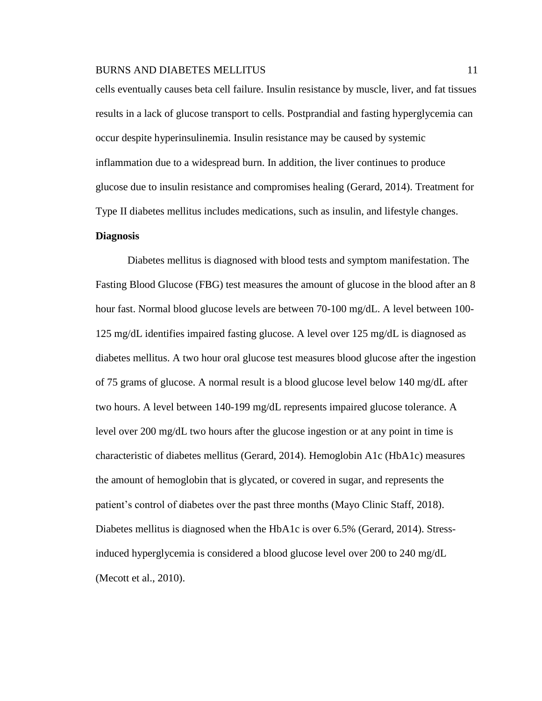cells eventually causes beta cell failure. Insulin resistance by muscle, liver, and fat tissues results in a lack of glucose transport to cells. Postprandial and fasting hyperglycemia can occur despite hyperinsulinemia. Insulin resistance may be caused by systemic inflammation due to a widespread burn. In addition, the liver continues to produce glucose due to insulin resistance and compromises healing (Gerard, 2014). Treatment for Type II diabetes mellitus includes medications, such as insulin, and lifestyle changes.

# **Diagnosis**

Diabetes mellitus is diagnosed with blood tests and symptom manifestation. The Fasting Blood Glucose (FBG) test measures the amount of glucose in the blood after an 8 hour fast. Normal blood glucose levels are between 70-100 mg/dL. A level between 100- 125 mg/dL identifies impaired fasting glucose. A level over 125 mg/dL is diagnosed as diabetes mellitus. A two hour oral glucose test measures blood glucose after the ingestion of 75 grams of glucose. A normal result is a blood glucose level below 140 mg/dL after two hours. A level between 140-199 mg/dL represents impaired glucose tolerance. A level over 200 mg/dL two hours after the glucose ingestion or at any point in time is characteristic of diabetes mellitus (Gerard, 2014). Hemoglobin A1c (HbA1c) measures the amount of hemoglobin that is glycated, or covered in sugar, and represents the patient's control of diabetes over the past three months (Mayo Clinic Staff, 2018). Diabetes mellitus is diagnosed when the HbA1c is over 6.5% (Gerard, 2014). Stressinduced hyperglycemia is considered a blood glucose level over 200 to 240 mg/dL (Mecott et al., 2010).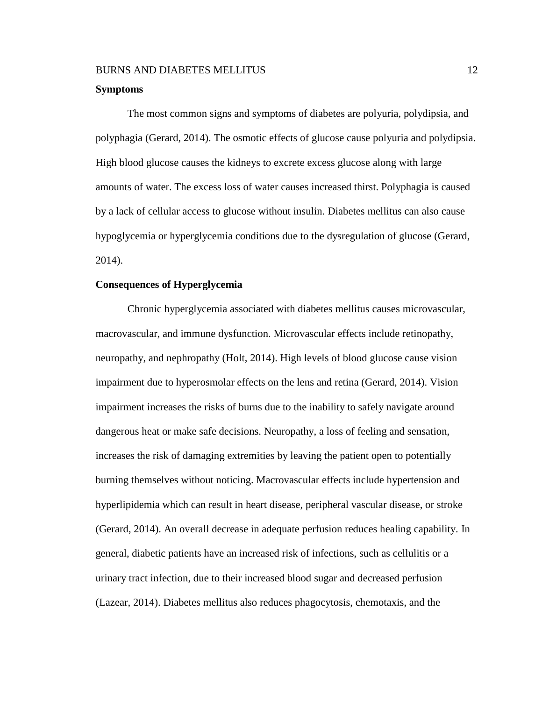#### **Symptoms**

The most common signs and symptoms of diabetes are polyuria, polydipsia, and polyphagia (Gerard, 2014). The osmotic effects of glucose cause polyuria and polydipsia. High blood glucose causes the kidneys to excrete excess glucose along with large amounts of water. The excess loss of water causes increased thirst. Polyphagia is caused by a lack of cellular access to glucose without insulin. Diabetes mellitus can also cause hypoglycemia or hyperglycemia conditions due to the dysregulation of glucose (Gerard, 2014).

#### **Consequences of Hyperglycemia**

Chronic hyperglycemia associated with diabetes mellitus causes microvascular, macrovascular, and immune dysfunction. Microvascular effects include retinopathy, neuropathy, and nephropathy (Holt, 2014). High levels of blood glucose cause vision impairment due to hyperosmolar effects on the lens and retina (Gerard, 2014). Vision impairment increases the risks of burns due to the inability to safely navigate around dangerous heat or make safe decisions. Neuropathy, a loss of feeling and sensation, increases the risk of damaging extremities by leaving the patient open to potentially burning themselves without noticing. Macrovascular effects include hypertension and hyperlipidemia which can result in heart disease, peripheral vascular disease, or stroke (Gerard, 2014). An overall decrease in adequate perfusion reduces healing capability. In general, diabetic patients have an increased risk of infections, such as cellulitis or a urinary tract infection, due to their increased blood sugar and decreased perfusion (Lazear, 2014). Diabetes mellitus also reduces phagocytosis, chemotaxis, and the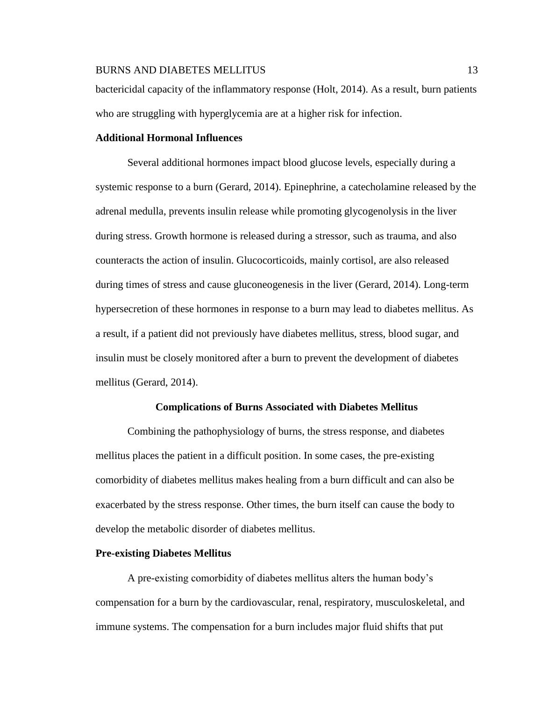bactericidal capacity of the inflammatory response (Holt, 2014). As a result, burn patients who are struggling with hyperglycemia are at a higher risk for infection.

# **Additional Hormonal Influences**

Several additional hormones impact blood glucose levels, especially during a systemic response to a burn (Gerard, 2014). Epinephrine, a catecholamine released by the adrenal medulla, prevents insulin release while promoting glycogenolysis in the liver during stress. Growth hormone is released during a stressor, such as trauma, and also counteracts the action of insulin. Glucocorticoids, mainly cortisol, are also released during times of stress and cause gluconeogenesis in the liver (Gerard, 2014). Long-term hypersecretion of these hormones in response to a burn may lead to diabetes mellitus. As a result, if a patient did not previously have diabetes mellitus, stress, blood sugar, and insulin must be closely monitored after a burn to prevent the development of diabetes mellitus (Gerard, 2014).

#### **Complications of Burns Associated with Diabetes Mellitus**

Combining the pathophysiology of burns, the stress response, and diabetes mellitus places the patient in a difficult position. In some cases, the pre-existing comorbidity of diabetes mellitus makes healing from a burn difficult and can also be exacerbated by the stress response. Other times, the burn itself can cause the body to develop the metabolic disorder of diabetes mellitus.

### **Pre-existing Diabetes Mellitus**

A pre-existing comorbidity of diabetes mellitus alters the human body's compensation for a burn by the cardiovascular, renal, respiratory, musculoskeletal, and immune systems. The compensation for a burn includes major fluid shifts that put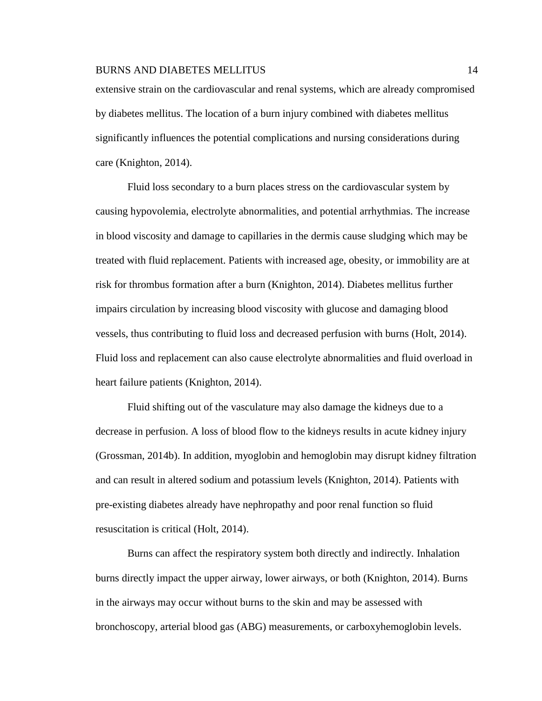extensive strain on the cardiovascular and renal systems, which are already compromised by diabetes mellitus. The location of a burn injury combined with diabetes mellitus significantly influences the potential complications and nursing considerations during care (Knighton, 2014).

Fluid loss secondary to a burn places stress on the cardiovascular system by causing hypovolemia, electrolyte abnormalities, and potential arrhythmias. The increase in blood viscosity and damage to capillaries in the dermis cause sludging which may be treated with fluid replacement. Patients with increased age, obesity, or immobility are at risk for thrombus formation after a burn (Knighton, 2014). Diabetes mellitus further impairs circulation by increasing blood viscosity with glucose and damaging blood vessels, thus contributing to fluid loss and decreased perfusion with burns (Holt, 2014). Fluid loss and replacement can also cause electrolyte abnormalities and fluid overload in heart failure patients (Knighton, 2014).

Fluid shifting out of the vasculature may also damage the kidneys due to a decrease in perfusion. A loss of blood flow to the kidneys results in acute kidney injury (Grossman, 2014b). In addition, myoglobin and hemoglobin may disrupt kidney filtration and can result in altered sodium and potassium levels (Knighton, 2014). Patients with pre-existing diabetes already have nephropathy and poor renal function so fluid resuscitation is critical (Holt, 2014).

Burns can affect the respiratory system both directly and indirectly. Inhalation burns directly impact the upper airway, lower airways, or both (Knighton, 2014). Burns in the airways may occur without burns to the skin and may be assessed with bronchoscopy, arterial blood gas (ABG) measurements, or carboxyhemoglobin levels.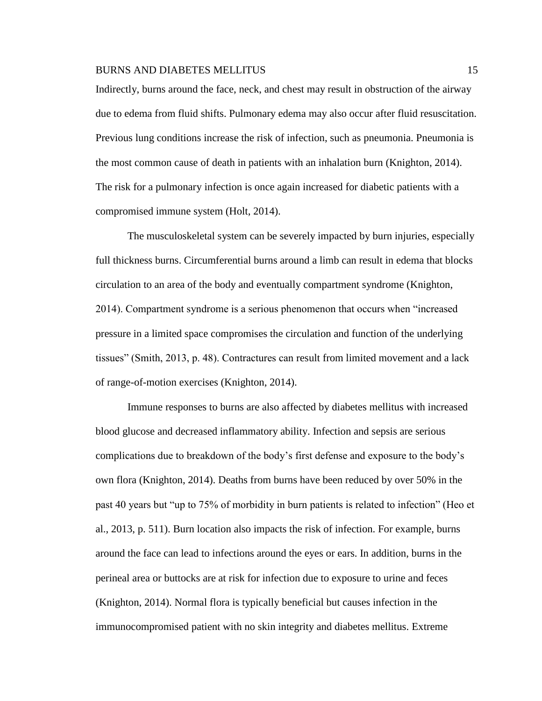Indirectly, burns around the face, neck, and chest may result in obstruction of the airway due to edema from fluid shifts. Pulmonary edema may also occur after fluid resuscitation. Previous lung conditions increase the risk of infection, such as pneumonia. Pneumonia is the most common cause of death in patients with an inhalation burn (Knighton, 2014). The risk for a pulmonary infection is once again increased for diabetic patients with a compromised immune system (Holt, 2014).

The musculoskeletal system can be severely impacted by burn injuries, especially full thickness burns. Circumferential burns around a limb can result in edema that blocks circulation to an area of the body and eventually compartment syndrome (Knighton, 2014). Compartment syndrome is a serious phenomenon that occurs when "increased pressure in a limited space compromises the circulation and function of the underlying tissues" (Smith, 2013, p. 48). Contractures can result from limited movement and a lack of range-of-motion exercises (Knighton, 2014).

Immune responses to burns are also affected by diabetes mellitus with increased blood glucose and decreased inflammatory ability. Infection and sepsis are serious complications due to breakdown of the body's first defense and exposure to the body's own flora (Knighton, 2014). Deaths from burns have been reduced by over 50% in the past 40 years but "up to 75% of morbidity in burn patients is related to infection" (Heo et al., 2013, p. 511). Burn location also impacts the risk of infection. For example, burns around the face can lead to infections around the eyes or ears. In addition, burns in the perineal area or buttocks are at risk for infection due to exposure to urine and feces (Knighton, 2014). Normal flora is typically beneficial but causes infection in the immunocompromised patient with no skin integrity and diabetes mellitus. Extreme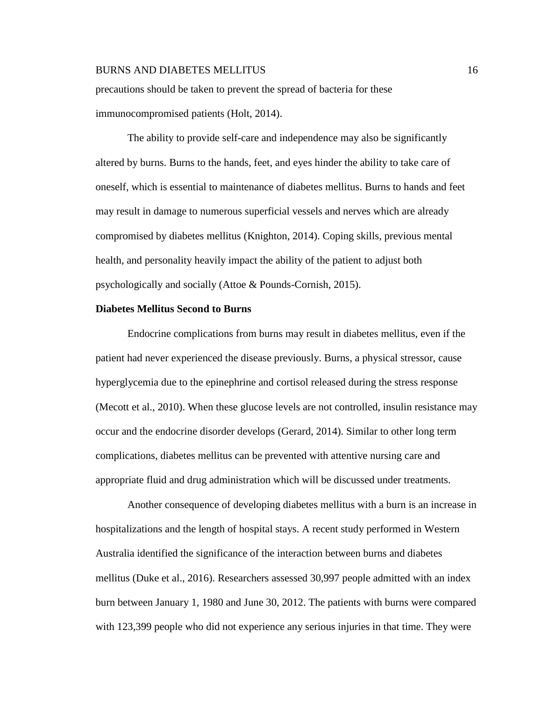precautions should be taken to prevent the spread of bacteria for these immunocompromised patients (Holt, 2014).

The ability to provide self-care and independence may also be significantly altered by burns. Burns to the hands, feet, and eyes hinder the ability to take care of oneself, which is essential to maintenance of diabetes mellitus. Burns to hands and feet may result in damage to numerous superficial vessels and nerves which are already compromised by diabetes mellitus (Knighton, 2014). Coping skills, previous mental health, and personality heavily impact the ability of the patient to adjust both psychologically and socially (Attoe & Pounds-Cornish, 2015).

# **Diabetes Mellitus Second to Burns**

Endocrine complications from burns may result in diabetes mellitus, even if the patient had never experienced the disease previously. Burns, a physical stressor, cause hyperglycemia due to the epinephrine and cortisol released during the stress response (Mecott et al., 2010). When these glucose levels are not controlled, insulin resistance may occur and the endocrine disorder develops (Gerard, 2014). Similar to other long term complications, diabetes mellitus can be prevented with attentive nursing care and appropriate fluid and drug administration which will be discussed under treatments.

Another consequence of developing diabetes mellitus with a burn is an increase in hospitalizations and the length of hospital stays. A recent study performed in Western Australia identified the significance of the interaction between burns and diabetes mellitus (Duke et al., 2016). Researchers assessed 30,997 people admitted with an index burn between January 1, 1980 and June 30, 2012. The patients with burns were compared with 123,399 people who did not experience any serious injuries in that time. They were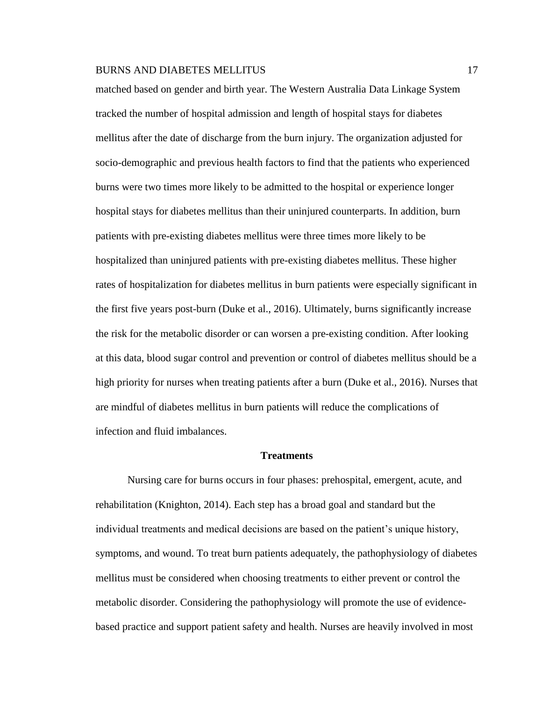matched based on gender and birth year. The Western Australia Data Linkage System tracked the number of hospital admission and length of hospital stays for diabetes mellitus after the date of discharge from the burn injury. The organization adjusted for socio-demographic and previous health factors to find that the patients who experienced burns were two times more likely to be admitted to the hospital or experience longer hospital stays for diabetes mellitus than their uninjured counterparts. In addition, burn patients with pre-existing diabetes mellitus were three times more likely to be hospitalized than uninjured patients with pre-existing diabetes mellitus. These higher rates of hospitalization for diabetes mellitus in burn patients were especially significant in the first five years post-burn (Duke et al., 2016). Ultimately, burns significantly increase the risk for the metabolic disorder or can worsen a pre-existing condition. After looking at this data, blood sugar control and prevention or control of diabetes mellitus should be a high priority for nurses when treating patients after a burn (Duke et al., 2016). Nurses that are mindful of diabetes mellitus in burn patients will reduce the complications of infection and fluid imbalances.

#### **Treatments**

Nursing care for burns occurs in four phases: prehospital, emergent, acute, and rehabilitation (Knighton, 2014). Each step has a broad goal and standard but the individual treatments and medical decisions are based on the patient's unique history, symptoms, and wound. To treat burn patients adequately, the pathophysiology of diabetes mellitus must be considered when choosing treatments to either prevent or control the metabolic disorder. Considering the pathophysiology will promote the use of evidencebased practice and support patient safety and health. Nurses are heavily involved in most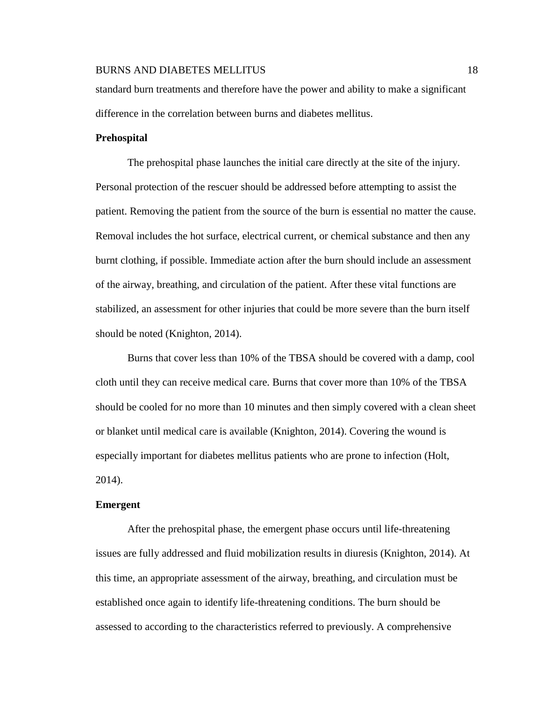standard burn treatments and therefore have the power and ability to make a significant difference in the correlation between burns and diabetes mellitus.

#### **Prehospital**

The prehospital phase launches the initial care directly at the site of the injury. Personal protection of the rescuer should be addressed before attempting to assist the patient. Removing the patient from the source of the burn is essential no matter the cause. Removal includes the hot surface, electrical current, or chemical substance and then any burnt clothing, if possible. Immediate action after the burn should include an assessment of the airway, breathing, and circulation of the patient. After these vital functions are stabilized, an assessment for other injuries that could be more severe than the burn itself should be noted (Knighton, 2014).

Burns that cover less than 10% of the TBSA should be covered with a damp, cool cloth until they can receive medical care. Burns that cover more than 10% of the TBSA should be cooled for no more than 10 minutes and then simply covered with a clean sheet or blanket until medical care is available (Knighton, 2014). Covering the wound is especially important for diabetes mellitus patients who are prone to infection (Holt, 2014).

#### **Emergent**

After the prehospital phase, the emergent phase occurs until life-threatening issues are fully addressed and fluid mobilization results in diuresis (Knighton, 2014). At this time, an appropriate assessment of the airway, breathing, and circulation must be established once again to identify life-threatening conditions. The burn should be assessed to according to the characteristics referred to previously. A comprehensive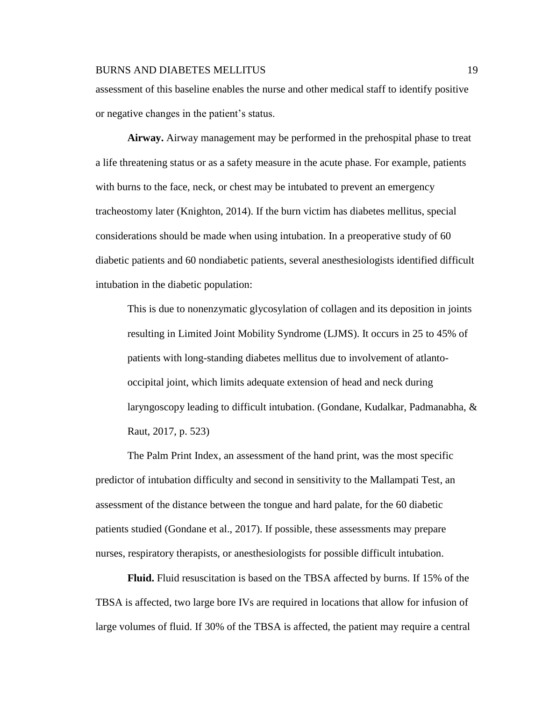assessment of this baseline enables the nurse and other medical staff to identify positive or negative changes in the patient's status.

**Airway.** Airway management may be performed in the prehospital phase to treat a life threatening status or as a safety measure in the acute phase. For example, patients with burns to the face, neck, or chest may be intubated to prevent an emergency tracheostomy later (Knighton, 2014). If the burn victim has diabetes mellitus, special considerations should be made when using intubation. In a preoperative study of 60 diabetic patients and 60 nondiabetic patients, several anesthesiologists identified difficult intubation in the diabetic population:

This is due to nonenzymatic glycosylation of collagen and its deposition in joints resulting in Limited Joint Mobility Syndrome (LJMS). It occurs in 25 to 45% of patients with long-standing diabetes mellitus due to involvement of atlantooccipital joint, which limits adequate extension of head and neck during laryngoscopy leading to difficult intubation. (Gondane, Kudalkar, Padmanabha, & Raut, 2017, p. 523)

The Palm Print Index, an assessment of the hand print, was the most specific predictor of intubation difficulty and second in sensitivity to the Mallampati Test, an assessment of the distance between the tongue and hard palate, for the 60 diabetic patients studied (Gondane et al., 2017). If possible, these assessments may prepare nurses, respiratory therapists, or anesthesiologists for possible difficult intubation.

**Fluid.** Fluid resuscitation is based on the TBSA affected by burns. If 15% of the TBSA is affected, two large bore IVs are required in locations that allow for infusion of large volumes of fluid. If 30% of the TBSA is affected, the patient may require a central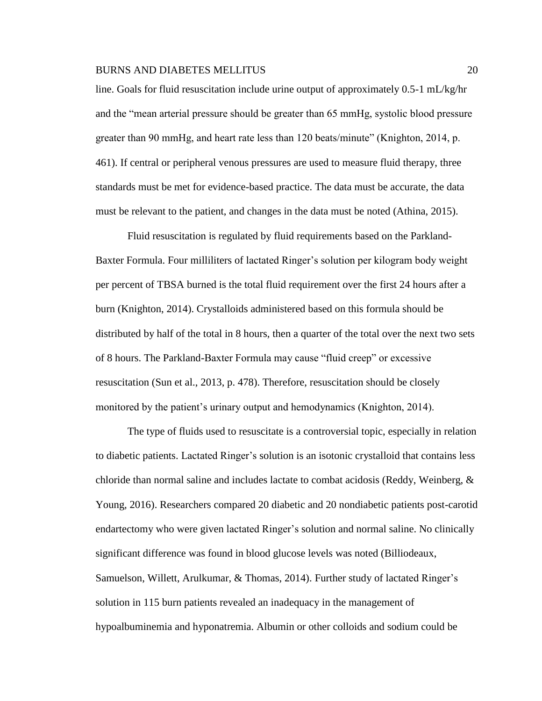line. Goals for fluid resuscitation include urine output of approximately 0.5-1 mL/kg/hr and the "mean arterial pressure should be greater than 65 mmHg, systolic blood pressure greater than 90 mmHg, and heart rate less than 120 beats/minute" (Knighton, 2014, p. 461). If central or peripheral venous pressures are used to measure fluid therapy, three standards must be met for evidence-based practice. The data must be accurate, the data must be relevant to the patient, and changes in the data must be noted (Athina, 2015).

Fluid resuscitation is regulated by fluid requirements based on the Parkland-Baxter Formula. Four milliliters of lactated Ringer's solution per kilogram body weight per percent of TBSA burned is the total fluid requirement over the first 24 hours after a burn (Knighton, 2014). Crystalloids administered based on this formula should be distributed by half of the total in 8 hours, then a quarter of the total over the next two sets of 8 hours. The Parkland-Baxter Formula may cause "fluid creep" or excessive resuscitation (Sun et al., 2013, p. 478). Therefore, resuscitation should be closely monitored by the patient's urinary output and hemodynamics (Knighton, 2014).

The type of fluids used to resuscitate is a controversial topic, especially in relation to diabetic patients. Lactated Ringer's solution is an isotonic crystalloid that contains less chloride than normal saline and includes lactate to combat acidosis (Reddy, Weinberg, & Young, 2016). Researchers compared 20 diabetic and 20 nondiabetic patients post-carotid endartectomy who were given lactated Ringer's solution and normal saline. No clinically significant difference was found in blood glucose levels was noted (Billiodeaux, Samuelson, Willett, Arulkumar, & Thomas, 2014). Further study of lactated Ringer's solution in 115 burn patients revealed an inadequacy in the management of hypoalbuminemia and hyponatremia. Albumin or other colloids and sodium could be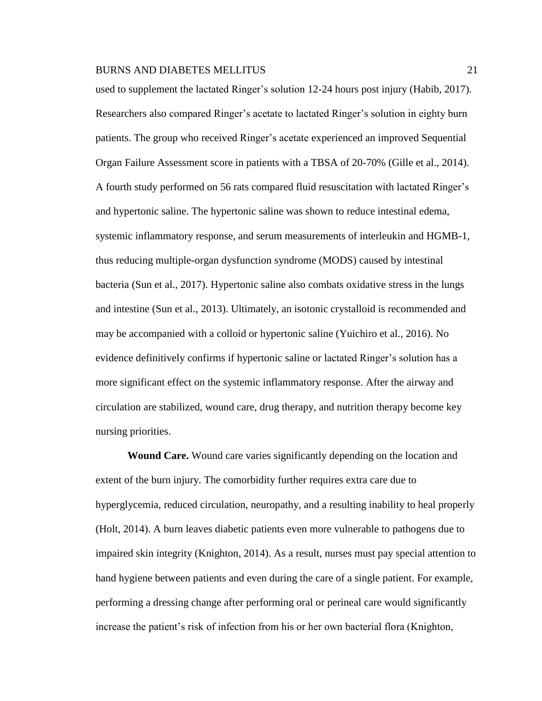used to supplement the lactated Ringer's solution 12-24 hours post injury (Habib, 2017). Researchers also compared Ringer's acetate to lactated Ringer's solution in eighty burn patients. The group who received Ringer's acetate experienced an improved Sequential Organ Failure Assessment score in patients with a TBSA of 20-70% (Gille et al., 2014). A fourth study performed on 56 rats compared fluid resuscitation with lactated Ringer's and hypertonic saline. The hypertonic saline was shown to reduce intestinal edema, systemic inflammatory response, and serum measurements of interleukin and HGMB-1, thus reducing multiple-organ dysfunction syndrome (MODS) caused by intestinal bacteria (Sun et al., 2017). Hypertonic saline also combats oxidative stress in the lungs and intestine (Sun et al., 2013). Ultimately, an isotonic crystalloid is recommended and may be accompanied with a colloid or hypertonic saline (Yuichiro et al., 2016). No evidence definitively confirms if hypertonic saline or lactated Ringer's solution has a more significant effect on the systemic inflammatory response. After the airway and circulation are stabilized, wound care, drug therapy, and nutrition therapy become key nursing priorities.

**Wound Care.** Wound care varies significantly depending on the location and extent of the burn injury. The comorbidity further requires extra care due to hyperglycemia, reduced circulation, neuropathy, and a resulting inability to heal properly (Holt, 2014). A burn leaves diabetic patients even more vulnerable to pathogens due to impaired skin integrity (Knighton, 2014). As a result, nurses must pay special attention to hand hygiene between patients and even during the care of a single patient. For example, performing a dressing change after performing oral or perineal care would significantly increase the patient's risk of infection from his or her own bacterial flora (Knighton,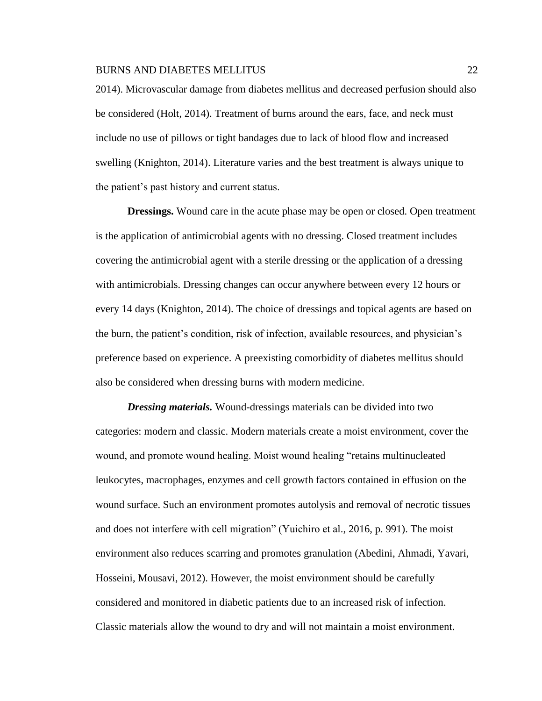2014). Microvascular damage from diabetes mellitus and decreased perfusion should also be considered (Holt, 2014). Treatment of burns around the ears, face, and neck must include no use of pillows or tight bandages due to lack of blood flow and increased swelling (Knighton, 2014). Literature varies and the best treatment is always unique to the patient's past history and current status.

**Dressings.** Wound care in the acute phase may be open or closed. Open treatment is the application of antimicrobial agents with no dressing. Closed treatment includes covering the antimicrobial agent with a sterile dressing or the application of a dressing with antimicrobials. Dressing changes can occur anywhere between every 12 hours or every 14 days (Knighton, 2014). The choice of dressings and topical agents are based on the burn, the patient's condition, risk of infection, available resources, and physician's preference based on experience. A preexisting comorbidity of diabetes mellitus should also be considered when dressing burns with modern medicine.

*Dressing materials.* Wound-dressings materials can be divided into two categories: modern and classic. Modern materials create a moist environment, cover the wound, and promote wound healing. Moist wound healing "retains multinucleated leukocytes, macrophages, enzymes and cell growth factors contained in effusion on the wound surface. Such an environment promotes autolysis and removal of necrotic tissues and does not interfere with cell migration" (Yuichiro et al., 2016, p. 991). The moist environment also reduces scarring and promotes granulation (Abedini, Ahmadi, Yavari, Hosseini, Mousavi, 2012). However, the moist environment should be carefully considered and monitored in diabetic patients due to an increased risk of infection. Classic materials allow the wound to dry and will not maintain a moist environment.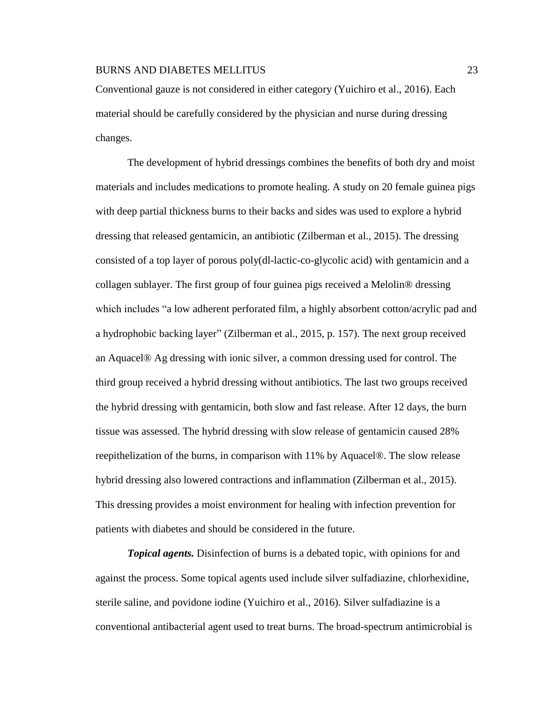Conventional gauze is not considered in either category (Yuichiro et al., 2016). Each material should be carefully considered by the physician and nurse during dressing changes.

The development of hybrid dressings combines the benefits of both dry and moist materials and includes medications to promote healing. A study on 20 female guinea pigs with deep partial thickness burns to their backs and sides was used to explore a hybrid dressing that released gentamicin, an antibiotic (Zilberman et al., 2015). The dressing consisted of a top layer of porous poly(dl-lactic-co-glycolic acid) with gentamicin and a collagen sublayer. The first group of four guinea pigs received a Melolin® dressing which includes "a low adherent perforated film, a highly absorbent cotton/acrylic pad and a hydrophobic backing layer" (Zilberman et al., 2015, p. 157). The next group received an Aquacel® Ag dressing with ionic silver, a common dressing used for control. The third group received a hybrid dressing without antibiotics. The last two groups received the hybrid dressing with gentamicin, both slow and fast release. After 12 days, the burn tissue was assessed. The hybrid dressing with slow release of gentamicin caused 28% reepithelization of the burns, in comparison with 11% by Aquacel®. The slow release hybrid dressing also lowered contractions and inflammation (Zilberman et al., 2015). This dressing provides a moist environment for healing with infection prevention for patients with diabetes and should be considered in the future.

*Topical agents.* Disinfection of burns is a debated topic, with opinions for and against the process. Some topical agents used include silver sulfadiazine, chlorhexidine, sterile saline, and povidone iodine (Yuichiro et al., 2016). Silver sulfadiazine is a conventional antibacterial agent used to treat burns. The broad-spectrum antimicrobial is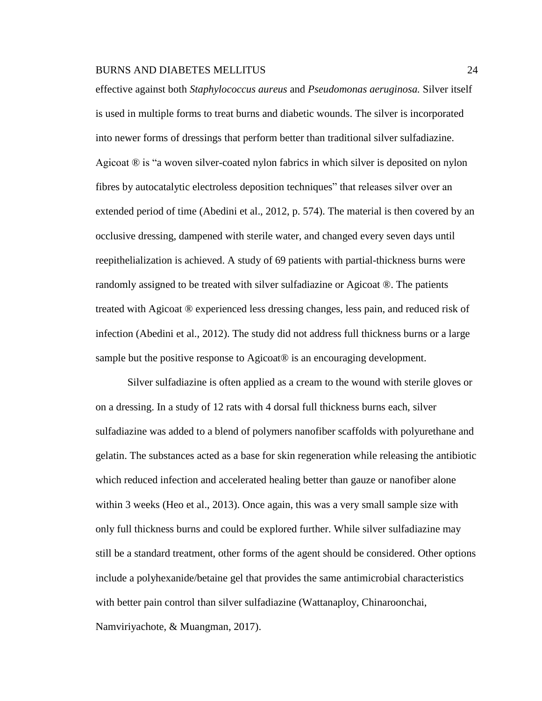effective against both *Staphylococcus aureus* and *Pseudomonas aeruginosa.* Silver itself is used in multiple forms to treat burns and diabetic wounds. The silver is incorporated into newer forms of dressings that perform better than traditional silver sulfadiazine. Agicoat ® is "a woven silver-coated nylon fabrics in which silver is deposited on nylon fibres by autocatalytic electroless deposition techniques" that releases silver over an extended period of time (Abedini et al., 2012, p. 574). The material is then covered by an occlusive dressing, dampened with sterile water, and changed every seven days until reepithelialization is achieved. A study of 69 patients with partial-thickness burns were randomly assigned to be treated with silver sulfadiazine or Agicoat ®. The patients treated with Agicoat ® experienced less dressing changes, less pain, and reduced risk of infection (Abedini et al., 2012). The study did not address full thickness burns or a large sample but the positive response to Agicoat<sup>®</sup> is an encouraging development.

Silver sulfadiazine is often applied as a cream to the wound with sterile gloves or on a dressing. In a study of 12 rats with 4 dorsal full thickness burns each, silver sulfadiazine was added to a blend of polymers nanofiber scaffolds with polyurethane and gelatin. The substances acted as a base for skin regeneration while releasing the antibiotic which reduced infection and accelerated healing better than gauze or nanofiber alone within 3 weeks (Heo et al., 2013). Once again, this was a very small sample size with only full thickness burns and could be explored further. While silver sulfadiazine may still be a standard treatment, other forms of the agent should be considered. Other options include a polyhexanide/betaine gel that provides the same antimicrobial characteristics with better pain control than silver sulfadiazine (Wattanaploy, Chinaroonchai, Namviriyachote, & Muangman, 2017).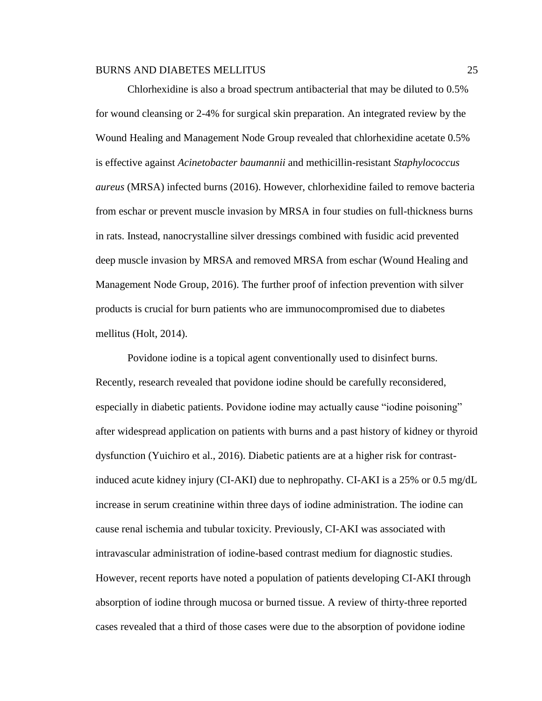Chlorhexidine is also a broad spectrum antibacterial that may be diluted to 0.5% for wound cleansing or 2-4% for surgical skin preparation. An integrated review by the Wound Healing and Management Node Group revealed that chlorhexidine acetate 0.5% is effective against *Acinetobacter baumannii* and methicillin-resistant *Staphylococcus aureus* (MRSA) infected burns (2016). However, chlorhexidine failed to remove bacteria from eschar or prevent muscle invasion by MRSA in four studies on full-thickness burns in rats. Instead, nanocrystalline silver dressings combined with fusidic acid prevented deep muscle invasion by MRSA and removed MRSA from eschar (Wound Healing and Management Node Group, 2016). The further proof of infection prevention with silver products is crucial for burn patients who are immunocompromised due to diabetes mellitus (Holt, 2014).

Povidone iodine is a topical agent conventionally used to disinfect burns. Recently, research revealed that povidone iodine should be carefully reconsidered, especially in diabetic patients. Povidone iodine may actually cause "iodine poisoning" after widespread application on patients with burns and a past history of kidney or thyroid dysfunction (Yuichiro et al., 2016). Diabetic patients are at a higher risk for contrastinduced acute kidney injury (CI-AKI) due to nephropathy. CI-AKI is a 25% or 0.5 mg/dL increase in serum creatinine within three days of iodine administration. The iodine can cause renal ischemia and tubular toxicity. Previously, CI-AKI was associated with intravascular administration of iodine-based contrast medium for diagnostic studies. However, recent reports have noted a population of patients developing CI-AKI through absorption of iodine through mucosa or burned tissue. A review of thirty-three reported cases revealed that a third of those cases were due to the absorption of povidone iodine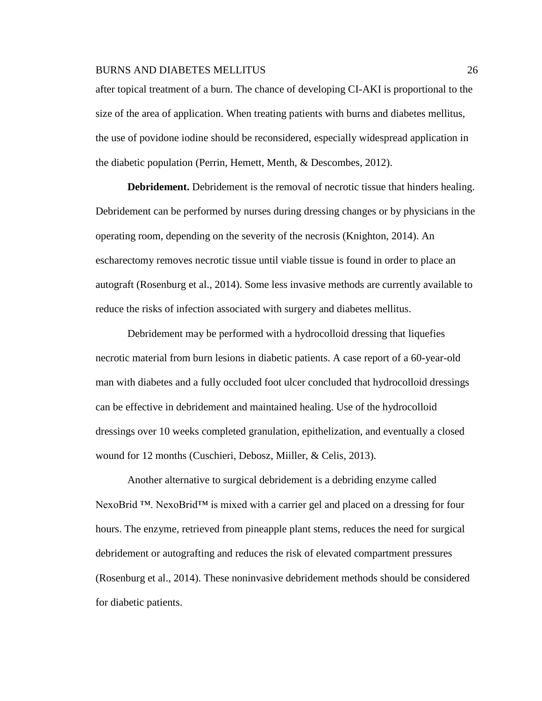after topical treatment of a burn. The chance of developing CI-AKI is proportional to the size of the area of application. When treating patients with burns and diabetes mellitus, the use of povidone iodine should be reconsidered, especially widespread application in the diabetic population (Perrin, Hemett, Menth, & Descombes, 2012).

**Debridement.** Debridement is the removal of necrotic tissue that hinders healing. Debridement can be performed by nurses during dressing changes or by physicians in the operating room, depending on the severity of the necrosis (Knighton, 2014). An escharectomy removes necrotic tissue until viable tissue is found in order to place an autograft (Rosenburg et al., 2014). Some less invasive methods are currently available to reduce the risks of infection associated with surgery and diabetes mellitus.

Debridement may be performed with a hydrocolloid dressing that liquefies necrotic material from burn lesions in diabetic patients. A case report of a 60-year-old man with diabetes and a fully occluded foot ulcer concluded that hydrocolloid dressings can be effective in debridement and maintained healing. Use of the hydrocolloid dressings over 10 weeks completed granulation, epithelization, and eventually a closed wound for 12 months (Cuschieri, Debosz, Miiller, & Celis, 2013).

Another alternative to surgical debridement is a debriding enzyme called NexoBrid <sup>™</sup>. NexoBrid<sup>™</sup> is mixed with a carrier gel and placed on a dressing for four hours. The enzyme, retrieved from pineapple plant stems, reduces the need for surgical debridement or autografting and reduces the risk of elevated compartment pressures (Rosenburg et al., 2014). These noninvasive debridement methods should be considered for diabetic patients.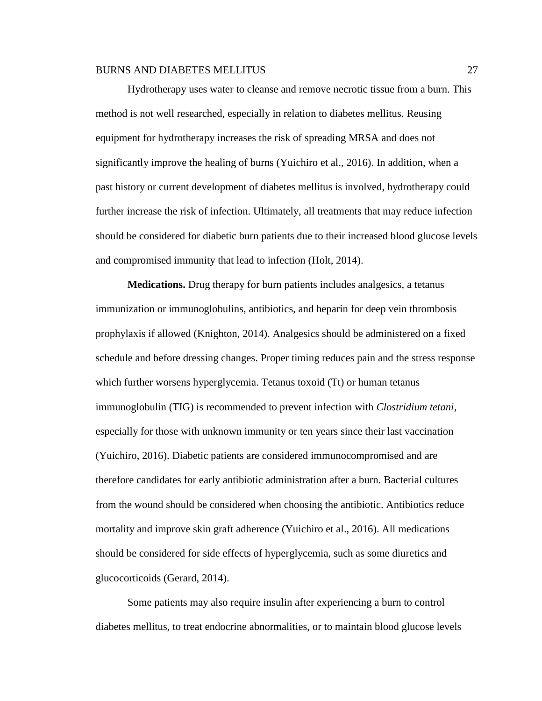Hydrotherapy uses water to cleanse and remove necrotic tissue from a burn. This method is not well researched, especially in relation to diabetes mellitus. Reusing equipment for hydrotherapy increases the risk of spreading MRSA and does not significantly improve the healing of burns (Yuichiro et al., 2016). In addition, when a past history or current development of diabetes mellitus is involved, hydrotherapy could further increase the risk of infection. Ultimately, all treatments that may reduce infection should be considered for diabetic burn patients due to their increased blood glucose levels and compromised immunity that lead to infection (Holt, 2014).

**Medications.** Drug therapy for burn patients includes analgesics, a tetanus immunization or immunoglobulins, antibiotics, and heparin for deep vein thrombosis prophylaxis if allowed (Knighton, 2014). Analgesics should be administered on a fixed schedule and before dressing changes. Proper timing reduces pain and the stress response which further worsens hyperglycemia. Tetanus toxoid (Tt) or human tetanus immunoglobulin (TIG) is recommended to prevent infection with *Clostridium tetani*, especially for those with unknown immunity or ten years since their last vaccination (Yuichiro, 2016). Diabetic patients are considered immunocompromised and are therefore candidates for early antibiotic administration after a burn. Bacterial cultures from the wound should be considered when choosing the antibiotic. Antibiotics reduce mortality and improve skin graft adherence (Yuichiro et al., 2016). All medications should be considered for side effects of hyperglycemia, such as some diuretics and glucocorticoids (Gerard, 2014).

Some patients may also require insulin after experiencing a burn to control diabetes mellitus, to treat endocrine abnormalities, or to maintain blood glucose levels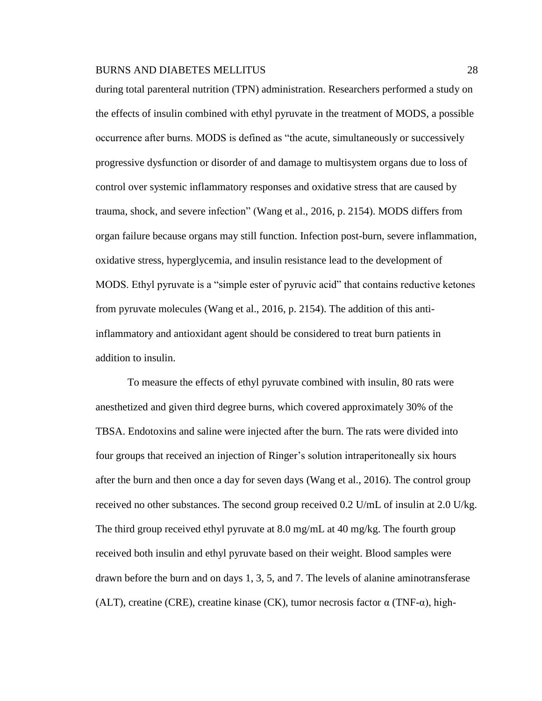during total parenteral nutrition (TPN) administration. Researchers performed a study on the effects of insulin combined with ethyl pyruvate in the treatment of MODS, a possible occurrence after burns. MODS is defined as "the acute, simultaneously or successively progressive dysfunction or disorder of and damage to multisystem organs due to loss of control over systemic inflammatory responses and oxidative stress that are caused by trauma, shock, and severe infection" (Wang et al., 2016, p. 2154). MODS differs from organ failure because organs may still function. Infection post-burn, severe inflammation, oxidative stress, hyperglycemia, and insulin resistance lead to the development of MODS. Ethyl pyruvate is a "simple ester of pyruvic acid" that contains reductive ketones from pyruvate molecules (Wang et al., 2016, p. 2154). The addition of this antiinflammatory and antioxidant agent should be considered to treat burn patients in addition to insulin.

To measure the effects of ethyl pyruvate combined with insulin, 80 rats were anesthetized and given third degree burns, which covered approximately 30% of the TBSA. Endotoxins and saline were injected after the burn. The rats were divided into four groups that received an injection of Ringer's solution intraperitoneally six hours after the burn and then once a day for seven days (Wang et al., 2016). The control group received no other substances. The second group received 0.2 U/mL of insulin at 2.0 U/kg. The third group received ethyl pyruvate at 8.0 mg/mL at 40 mg/kg. The fourth group received both insulin and ethyl pyruvate based on their weight. Blood samples were drawn before the burn and on days 1, 3, 5, and 7. The levels of alanine aminotransferase (ALT), creatine (CRE), creatine kinase (CK), tumor necrosis factor  $\alpha$  (TNF- $\alpha$ ), high-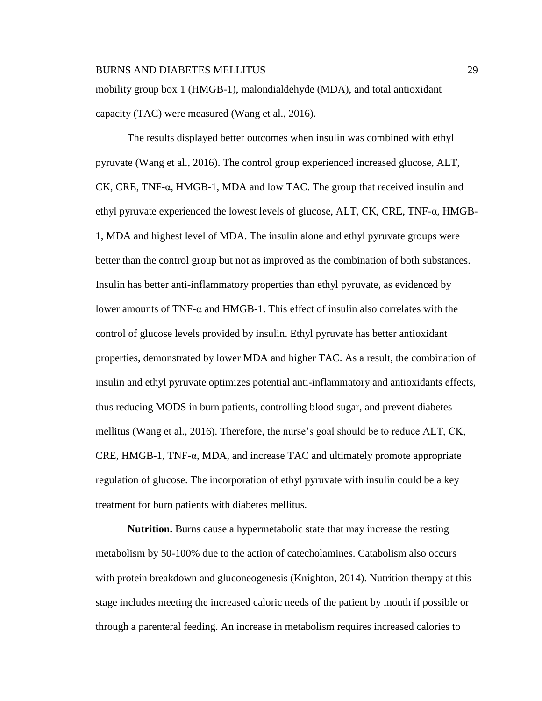mobility group box 1 (HMGB-1), malondialdehyde (MDA), and total antioxidant capacity (TAC) were measured (Wang et al., 2016).

The results displayed better outcomes when insulin was combined with ethyl pyruvate (Wang et al., 2016). The control group experienced increased glucose, ALT, CK, CRE, TNF-α, HMGB-1, MDA and low TAC. The group that received insulin and ethyl pyruvate experienced the lowest levels of glucose, ALT, CK, CRE, TNF- $\alpha$ , HMGB-1, MDA and highest level of MDA. The insulin alone and ethyl pyruvate groups were better than the control group but not as improved as the combination of both substances. Insulin has better anti-inflammatory properties than ethyl pyruvate, as evidenced by lower amounts of  $TNF-\alpha$  and  $HMGB-1$ . This effect of insulin also correlates with the control of glucose levels provided by insulin. Ethyl pyruvate has better antioxidant properties, demonstrated by lower MDA and higher TAC. As a result, the combination of insulin and ethyl pyruvate optimizes potential anti-inflammatory and antioxidants effects, thus reducing MODS in burn patients, controlling blood sugar, and prevent diabetes mellitus (Wang et al., 2016). Therefore, the nurse's goal should be to reduce ALT, CK, CRE, HMGB-1, TNF-α, MDA, and increase TAC and ultimately promote appropriate regulation of glucose. The incorporation of ethyl pyruvate with insulin could be a key treatment for burn patients with diabetes mellitus.

**Nutrition.** Burns cause a hypermetabolic state that may increase the resting metabolism by 50-100% due to the action of catecholamines. Catabolism also occurs with protein breakdown and glucone ogenesis (Knighton, 2014). Nutrition therapy at this stage includes meeting the increased caloric needs of the patient by mouth if possible or through a parenteral feeding. An increase in metabolism requires increased calories to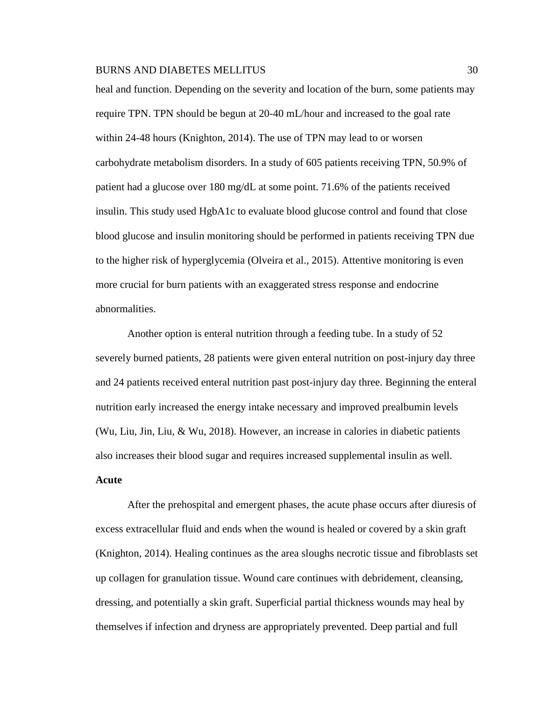heal and function. Depending on the severity and location of the burn, some patients may require TPN. TPN should be begun at 20-40 mL/hour and increased to the goal rate within 24-48 hours (Knighton, 2014). The use of TPN may lead to or worsen carbohydrate metabolism disorders. In a study of 605 patients receiving TPN, 50.9% of patient had a glucose over 180 mg/dL at some point. 71.6% of the patients received insulin. This study used HgbA1c to evaluate blood glucose control and found that close blood glucose and insulin monitoring should be performed in patients receiving TPN due to the higher risk of hyperglycemia (Olveira et al., 2015). Attentive monitoring is even more crucial for burn patients with an exaggerated stress response and endocrine abnormalities.

Another option is enteral nutrition through a feeding tube. In a study of 52 severely burned patients, 28 patients were given enteral nutrition on post-injury day three and 24 patients received enteral nutrition past post-injury day three. Beginning the enteral nutrition early increased the energy intake necessary and improved prealbumin levels (Wu, Liu, Jin, Liu, & Wu, 2018). However, an increase in calories in diabetic patients also increases their blood sugar and requires increased supplemental insulin as well. **Acute**

After the prehospital and emergent phases, the acute phase occurs after diuresis of excess extracellular fluid and ends when the wound is healed or covered by a skin graft (Knighton, 2014). Healing continues as the area sloughs necrotic tissue and fibroblasts set up collagen for granulation tissue. Wound care continues with debridement, cleansing, dressing, and potentially a skin graft. Superficial partial thickness wounds may heal by themselves if infection and dryness are appropriately prevented. Deep partial and full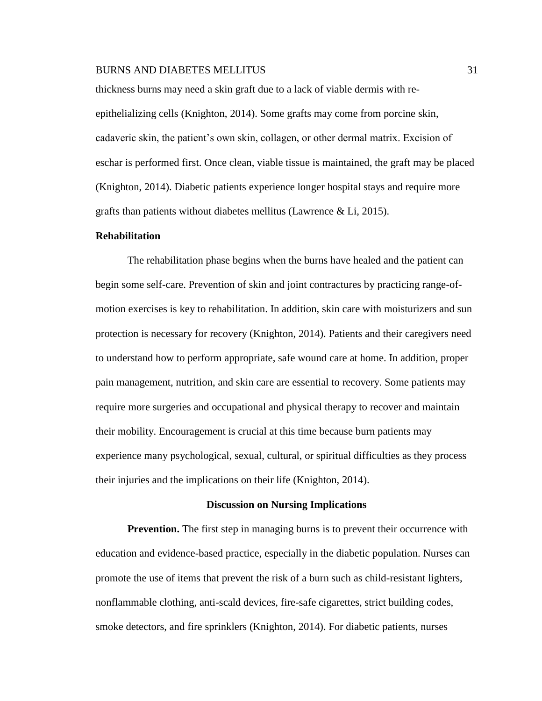thickness burns may need a skin graft due to a lack of viable dermis with reepithelializing cells (Knighton, 2014). Some grafts may come from porcine skin, cadaveric skin, the patient's own skin, collagen, or other dermal matrix. Excision of eschar is performed first. Once clean, viable tissue is maintained, the graft may be placed (Knighton, 2014). Diabetic patients experience longer hospital stays and require more grafts than patients without diabetes mellitus (Lawrence  $\&$  Li, 2015).

# **Rehabilitation**

The rehabilitation phase begins when the burns have healed and the patient can begin some self-care. Prevention of skin and joint contractures by practicing range-ofmotion exercises is key to rehabilitation. In addition, skin care with moisturizers and sun protection is necessary for recovery (Knighton, 2014). Patients and their caregivers need to understand how to perform appropriate, safe wound care at home. In addition, proper pain management, nutrition, and skin care are essential to recovery. Some patients may require more surgeries and occupational and physical therapy to recover and maintain their mobility. Encouragement is crucial at this time because burn patients may experience many psychological, sexual, cultural, or spiritual difficulties as they process their injuries and the implications on their life (Knighton, 2014).

#### **Discussion on Nursing Implications**

**Prevention.** The first step in managing burns is to prevent their occurrence with education and evidence-based practice, especially in the diabetic population. Nurses can promote the use of items that prevent the risk of a burn such as child-resistant lighters, nonflammable clothing, anti-scald devices, fire-safe cigarettes, strict building codes, smoke detectors, and fire sprinklers (Knighton, 2014). For diabetic patients, nurses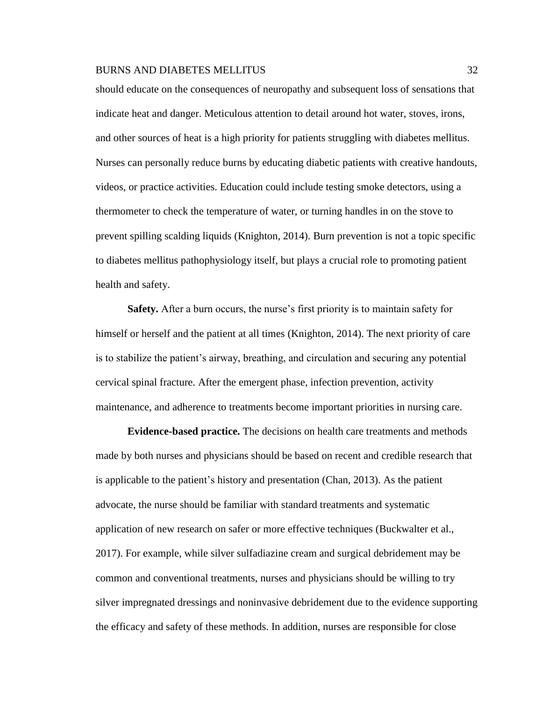should educate on the consequences of neuropathy and subsequent loss of sensations that indicate heat and danger. Meticulous attention to detail around hot water, stoves, irons, and other sources of heat is a high priority for patients struggling with diabetes mellitus. Nurses can personally reduce burns by educating diabetic patients with creative handouts, videos, or practice activities. Education could include testing smoke detectors, using a thermometer to check the temperature of water, or turning handles in on the stove to prevent spilling scalding liquids (Knighton, 2014). Burn prevention is not a topic specific to diabetes mellitus pathophysiology itself, but plays a crucial role to promoting patient health and safety.

**Safety.** After a burn occurs, the nurse's first priority is to maintain safety for himself or herself and the patient at all times (Knighton, 2014). The next priority of care is to stabilize the patient's airway, breathing, and circulation and securing any potential cervical spinal fracture. After the emergent phase, infection prevention, activity maintenance, and adherence to treatments become important priorities in nursing care.

**Evidence-based practice.** The decisions on health care treatments and methods made by both nurses and physicians should be based on recent and credible research that is applicable to the patient's history and presentation (Chan, 2013). As the patient advocate, the nurse should be familiar with standard treatments and systematic application of new research on safer or more effective techniques (Buckwalter et al., 2017). For example, while silver sulfadiazine cream and surgical debridement may be common and conventional treatments, nurses and physicians should be willing to try silver impregnated dressings and noninvasive debridement due to the evidence supporting the efficacy and safety of these methods. In addition, nurses are responsible for close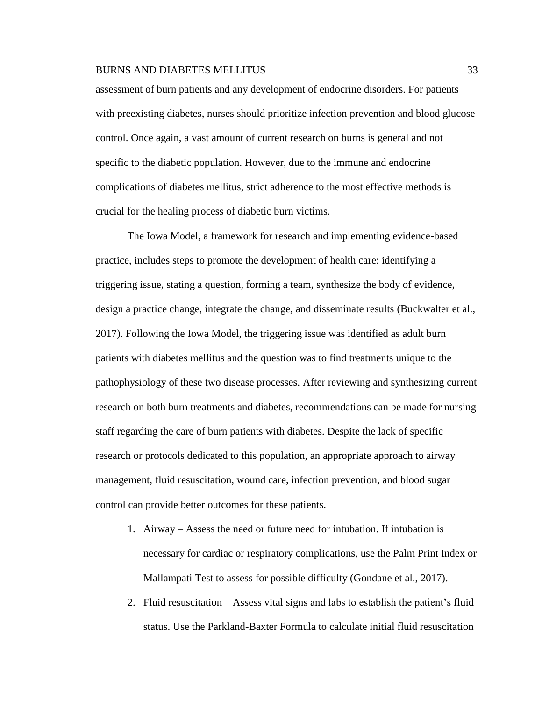assessment of burn patients and any development of endocrine disorders. For patients with preexisting diabetes, nurses should prioritize infection prevention and blood glucose control. Once again, a vast amount of current research on burns is general and not specific to the diabetic population. However, due to the immune and endocrine complications of diabetes mellitus, strict adherence to the most effective methods is crucial for the healing process of diabetic burn victims.

The Iowa Model, a framework for research and implementing evidence-based practice, includes steps to promote the development of health care: identifying a triggering issue, stating a question, forming a team, synthesize the body of evidence, design a practice change, integrate the change, and disseminate results (Buckwalter et al., 2017). Following the Iowa Model, the triggering issue was identified as adult burn patients with diabetes mellitus and the question was to find treatments unique to the pathophysiology of these two disease processes. After reviewing and synthesizing current research on both burn treatments and diabetes, recommendations can be made for nursing staff regarding the care of burn patients with diabetes. Despite the lack of specific research or protocols dedicated to this population, an appropriate approach to airway management, fluid resuscitation, wound care, infection prevention, and blood sugar control can provide better outcomes for these patients.

- 1. Airway Assess the need or future need for intubation. If intubation is necessary for cardiac or respiratory complications, use the Palm Print Index or Mallampati Test to assess for possible difficulty (Gondane et al., 2017).
- 2. Fluid resuscitation Assess vital signs and labs to establish the patient's fluid status. Use the Parkland-Baxter Formula to calculate initial fluid resuscitation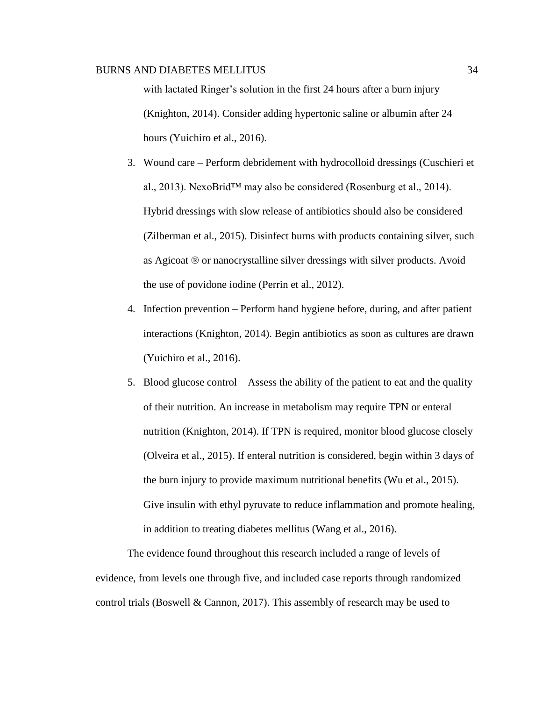with lactated Ringer's solution in the first 24 hours after a burn injury (Knighton, 2014). Consider adding hypertonic saline or albumin after 24 hours (Yuichiro et al., 2016).

- 3. Wound care Perform debridement with hydrocolloid dressings (Cuschieri et al., 2013). NexoBrid™ may also be considered (Rosenburg et al., 2014). Hybrid dressings with slow release of antibiotics should also be considered (Zilberman et al., 2015). Disinfect burns with products containing silver, such as Agicoat ® or nanocrystalline silver dressings with silver products. Avoid the use of povidone iodine (Perrin et al., 2012).
- 4. Infection prevention Perform hand hygiene before, during, and after patient interactions (Knighton, 2014). Begin antibiotics as soon as cultures are drawn (Yuichiro et al., 2016).
- 5. Blood glucose control Assess the ability of the patient to eat and the quality of their nutrition. An increase in metabolism may require TPN or enteral nutrition (Knighton, 2014). If TPN is required, monitor blood glucose closely (Olveira et al., 2015). If enteral nutrition is considered, begin within 3 days of the burn injury to provide maximum nutritional benefits (Wu et al., 2015). Give insulin with ethyl pyruvate to reduce inflammation and promote healing, in addition to treating diabetes mellitus (Wang et al., 2016).

The evidence found throughout this research included a range of levels of evidence, from levels one through five, and included case reports through randomized control trials (Boswell  $&$  Cannon, 2017). This assembly of research may be used to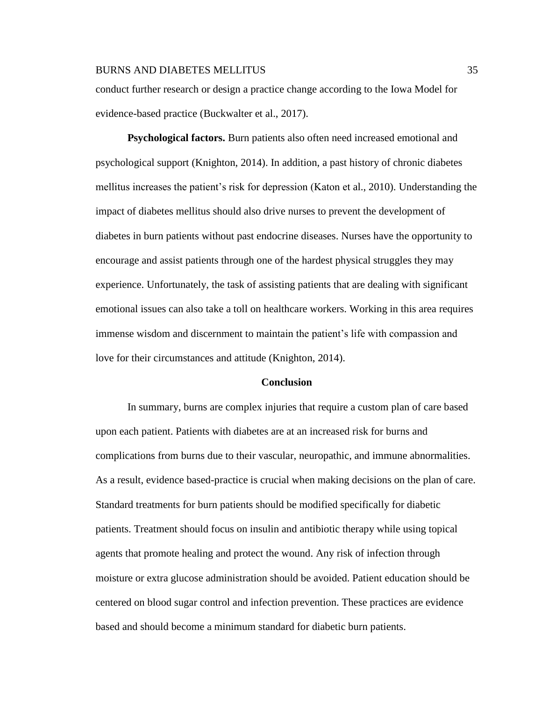conduct further research or design a practice change according to the Iowa Model for evidence-based practice (Buckwalter et al., 2017).

**Psychological factors.** Burn patients also often need increased emotional and psychological support (Knighton, 2014). In addition, a past history of chronic diabetes mellitus increases the patient's risk for depression (Katon et al., 2010). Understanding the impact of diabetes mellitus should also drive nurses to prevent the development of diabetes in burn patients without past endocrine diseases. Nurses have the opportunity to encourage and assist patients through one of the hardest physical struggles they may experience. Unfortunately, the task of assisting patients that are dealing with significant emotional issues can also take a toll on healthcare workers. Working in this area requires immense wisdom and discernment to maintain the patient's life with compassion and love for their circumstances and attitude (Knighton, 2014).

# **Conclusion**

In summary, burns are complex injuries that require a custom plan of care based upon each patient. Patients with diabetes are at an increased risk for burns and complications from burns due to their vascular, neuropathic, and immune abnormalities. As a result, evidence based-practice is crucial when making decisions on the plan of care. Standard treatments for burn patients should be modified specifically for diabetic patients. Treatment should focus on insulin and antibiotic therapy while using topical agents that promote healing and protect the wound. Any risk of infection through moisture or extra glucose administration should be avoided. Patient education should be centered on blood sugar control and infection prevention. These practices are evidence based and should become a minimum standard for diabetic burn patients.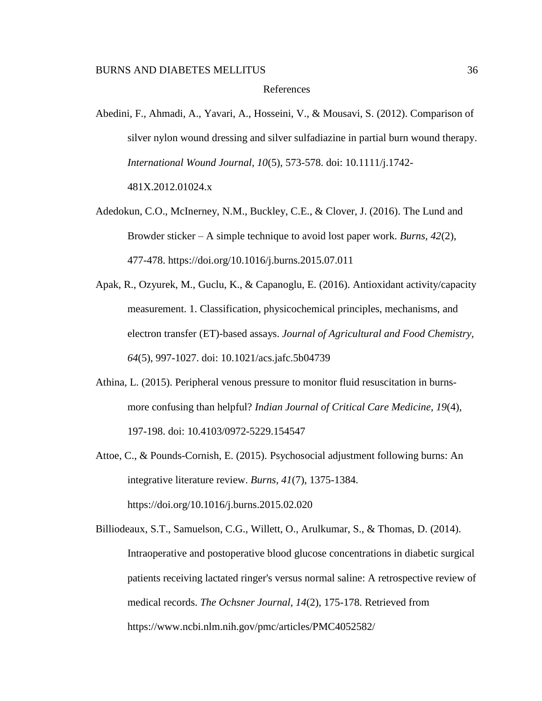# References

- Abedini, F., Ahmadi, A., Yavari, A., Hosseini, V., & Mousavi, S. (2012). Comparison of silver nylon wound dressing and silver sulfadiazine in partial burn wound therapy. *International Wound Journal, 10*(5), 573-578. doi: 10.1111/j.1742- 481X.2012.01024.x
- Adedokun, C.O., McInerney, N.M., Buckley, C.E., & Clover, J. (2016). The Lund and Browder sticker – A simple technique to avoid lost paper work. *Burns, 42*(2), 477-478. https://doi.org/10.1016/j.burns.2015.07.011
- Apak, R., Ozyurek, M., Guclu, K., & Capanoglu, E. (2016). Antioxidant activity/capacity measurement. 1. Classification, physicochemical principles, mechanisms, and electron transfer (ET)-based assays. *Journal of Agricultural and Food Chemistry, 64*(5), 997-1027. doi: 10.1021/acs.jafc.5b04739
- Athina, L. (2015). Peripheral venous pressure to monitor fluid resuscitation in burnsmore confusing than helpful? *Indian Journal of Critical Care Medicine, 19*(4), 197-198. doi: 10.4103/0972-5229.154547
- Attoe, C., & Pounds-Cornish, E. (2015). Psychosocial adjustment following burns: An integrative literature review. *Burns, 41*(7), 1375-1384. https://doi.org/10.1016/j.burns.2015.02.020

Billiodeaux, S.T., Samuelson, C.G., Willett, O., Arulkumar, S., & Thomas, D. (2014). Intraoperative and postoperative blood glucose concentrations in diabetic surgical patients receiving lactated ringer's versus normal saline: A retrospective review of medical records. *The Ochsner Journal, 14*(2), 175-178. Retrieved from https://www.ncbi.nlm.nih.gov/pmc/articles/PMC4052582/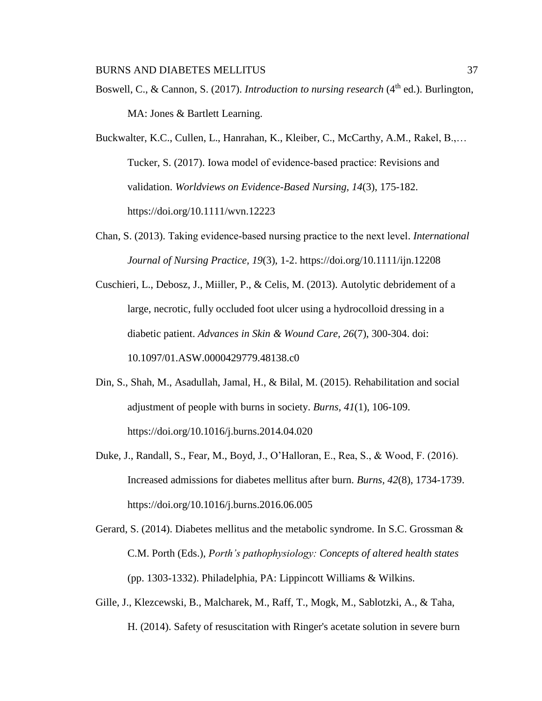Boswell, C., & Cannon, S. (2017). *Introduction to nursing research* (4<sup>th</sup> ed.). Burlington, MA: Jones & Bartlett Learning.

Buckwalter, K.C., Cullen, L., Hanrahan, K., Kleiber, C., McCarthy, A.M., Rakel, B.,… Tucker, S. (2017). Iowa model of evidence‐based practice: Revisions and validation. *Worldviews on Evidence-Based Nursing, 14*(3), 175-182. https://doi.org/10.1111/wvn.12223

Chan, S. (2013). Taking evidence‐based nursing practice to the next level. *International Journal of Nursing Practice, 19*(3), 1-2. https://doi.org/10.1111/ijn.12208

Cuschieri, L., Debosz, J., Miiller, P., & Celis, M. (2013). Autolytic debridement of a large, necrotic, fully occluded foot ulcer using a hydrocolloid dressing in a diabetic patient. *Advances in Skin & Wound Care, 26*(7), 300-304. doi: 10.1097/01.ASW.0000429779.48138.c0

- Din, S., Shah, M., Asadullah, Jamal, H., & Bilal, M. (2015). Rehabilitation and social adjustment of people with burns in society. *Burns, 41*(1), 106-109. https://doi.org/10.1016/j.burns.2014.04.020
- Duke, J., Randall, S., Fear, M., Boyd, J., O'Halloran, E., Rea, S., & Wood, F. (2016). Increased admissions for diabetes mellitus after burn. *Burns, 42*(8), 1734-1739. https://doi.org/10.1016/j.burns.2016.06.005
- Gerard, S. (2014). Diabetes mellitus and the metabolic syndrome. In S.C. Grossman & C.M. Porth (Eds.), *Porth's pathophysiology: Concepts of altered health states* (pp. 1303-1332). Philadelphia, PA: Lippincott Williams & Wilkins.
- Gille, J., Klezcewski, B., Malcharek, M., Raff, T., Mogk, M., Sablotzki, A., & Taha, H. (2014). Safety of resuscitation with Ringer's acetate solution in severe burn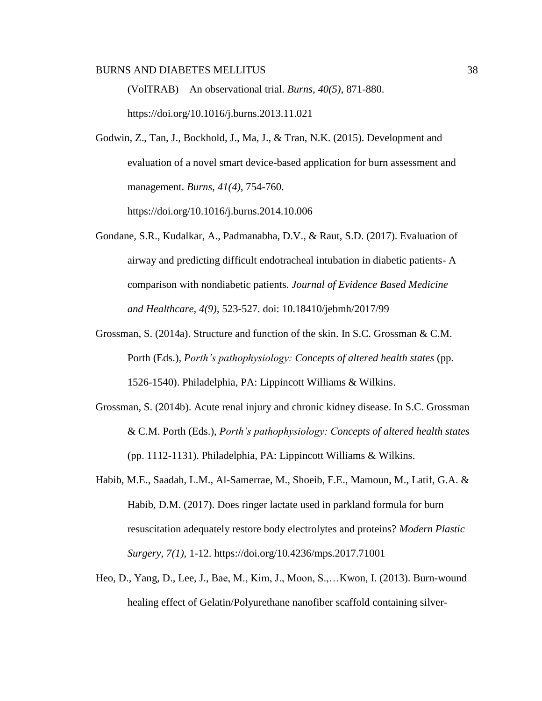(VolTRAB)—An observational trial. *Burns, 40(5),* 871-880. https://doi.org/10.1016/j.burns.2013.11.021

Godwin, Z., Tan, J., Bockhold, J., Ma, J., & Tran, N.K. (2015). Development and evaluation of a novel smart device-based application for burn assessment and management. *Burns, 41(4),* 754-760.

https://doi.org/10.1016/j.burns.2014.10.006

- Gondane, S.R., Kudalkar, A., Padmanabha, D.V., & Raut, S.D. (2017). Evaluation of airway and predicting difficult endotracheal intubation in diabetic patients- A comparison with nondiabetic patients. *Journal of Evidence Based Medicine and Healthcare, 4(9),* 523-527. doi: 10.18410/jebmh/2017/99
- Grossman, S. (2014a). Structure and function of the skin. In S.C. Grossman & C.M. Porth (Eds.), *Porth's pathophysiology: Concepts of altered health states* (pp. 1526-1540). Philadelphia, PA: Lippincott Williams & Wilkins.
- Grossman, S. (2014b). Acute renal injury and chronic kidney disease. In S.C. Grossman & C.M. Porth (Eds.), *Porth's pathophysiology: Concepts of altered health states*  (pp. 1112-1131). Philadelphia, PA: Lippincott Williams & Wilkins.
- Habib, M.E., Saadah, L.M., Al-Samerrae, M., Shoeib, F.E., Mamoun, M., Latif, G.A. & Habib, D.M. (2017). Does ringer lactate used in parkland formula for burn resuscitation adequately restore body electrolytes and proteins? *Modern Plastic Surgery, 7(1),* 1-12. https://doi.org/10.4236/mps.2017.71001
- Heo, D., Yang, D., Lee, J., Bae, M., Kim, J., Moon, S.,…Kwon, I. (2013). Burn-wound healing effect of Gelatin/Polyurethane nanofiber scaffold containing silver-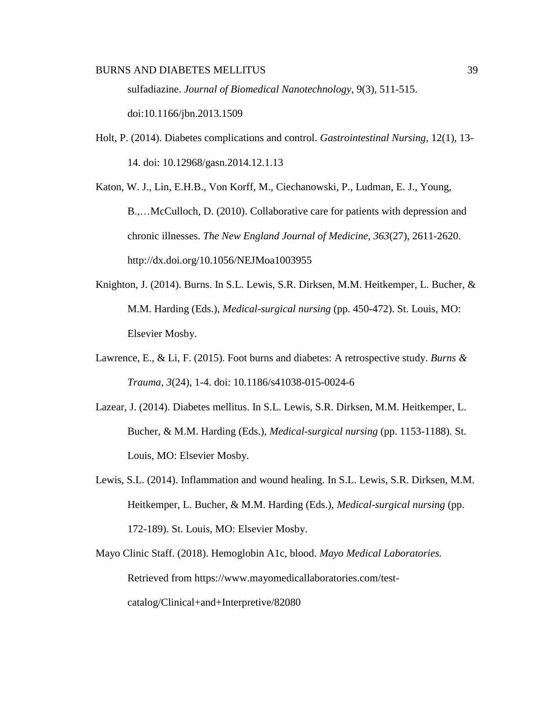sulfadiazine. *Journal of Biomedical Nanotechnology*, 9(3), 511-515. doi:10.1166/jbn.2013.1509

Holt, P. (2014). Diabetes complications and control. *Gastrointestinal Nursing,* 12(1), 13- 14. doi: 10.12968/gasn.2014.12.1.13

Katon, W. J., Lin, E.H.B., Von Korff, M., Ciechanowski, P., Ludman, E. J., Young, B.,…McCulloch, D. (2010). Collaborative care for patients with depression and chronic illnesses. *The New England Journal of Medicine, 363*(27), 2611-2620. http://dx.doi.org/10.1056/NEJMoa1003955

- Knighton, J. (2014). Burns. In S.L. Lewis, S.R. Dirksen, M.M. Heitkemper, L. Bucher, & M.M. Harding (Eds.), *Medical-surgical nursing* (pp. 450-472). St. Louis, MO: Elsevier Mosby.
- Lawrence, E., & Li, F. (2015). Foot burns and diabetes: A retrospective study. *Burns & Trauma, 3*(24), 1-4. doi: 10.1186/s41038-015-0024-6
- Lazear, J. (2014). Diabetes mellitus. In S.L. Lewis, S.R. Dirksen, M.M. Heitkemper, L. Bucher, & M.M. Harding (Eds.), *Medical-surgical nursing* (pp. 1153-1188). St. Louis, MO: Elsevier Mosby.
- Lewis, S.L. (2014). Inflammation and wound healing. In S.L. Lewis, S.R. Dirksen, M.M. Heitkemper, L. Bucher, & M.M. Harding (Eds.), *Medical-surgical nursing* (pp. 172-189). St. Louis, MO: Elsevier Mosby.
- Mayo Clinic Staff. (2018). Hemoglobin A1c, blood. *Mayo Medical Laboratories.*  Retrieved from https://www.mayomedicallaboratories.com/testcatalog/Clinical+and+Interpretive/82080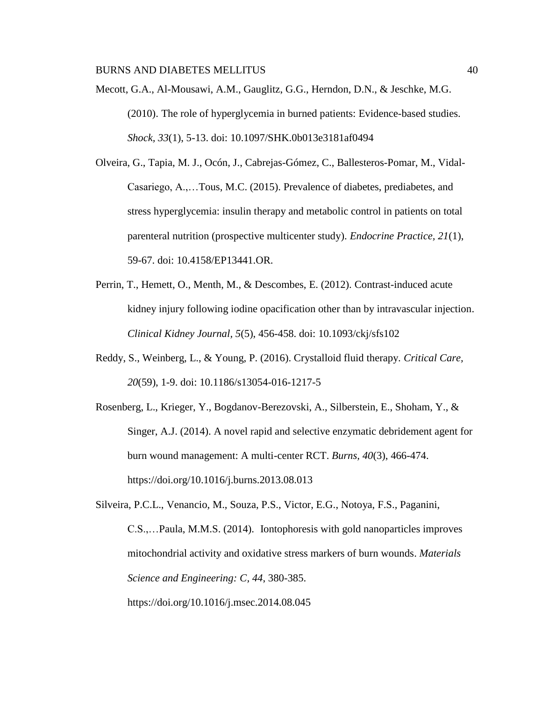Mecott, G.A., Al-Mousawi, A.M., Gauglitz, G.G., Herndon, D.N., & Jeschke, M.G. (2010). The role of hyperglycemia in burned patients: Evidence-based studies. *Shock, 33*(1), 5-13. doi: 10.1097/SHK.0b013e3181af0494

Olveira, G., Tapia, M. J., Ocón, J., Cabrejas-Gómez, C., Ballesteros-Pomar, M., Vidal-Casariego, A.,…Tous, M.C. (2015). Prevalence of diabetes, prediabetes, and stress hyperglycemia: insulin therapy and metabolic control in patients on total parenteral nutrition (prospective multicenter study). *Endocrine Practice, 21*(1), 59-67. doi: 10.4158/EP13441.OR.

- Perrin, T., Hemett, O., Menth, M., & Descombes, E. (2012). Contrast-induced acute kidney injury following iodine opacification other than by intravascular injection. *Clinical Kidney Journal, 5*(5), 456-458. doi: 10.1093/ckj/sfs102
- Reddy, S., Weinberg, L., & Young, P. (2016). Crystalloid fluid therapy. *Critical Care, 20*(59), 1-9. doi: 10.1186/s13054-016-1217-5
- Rosenberg, L., Krieger, Y., Bogdanov-Berezovski, A., Silberstein, E., Shoham, Y., & Singer, A.J. (2014). A novel rapid and selective enzymatic debridement agent for burn wound management: A multi-center RCT. *Burns, 40*(3), 466-474. https://doi.org/10.1016/j.burns.2013.08.013

Silveira, P.C.L., Venancio, M., Souza, P.S., Victor, E.G., Notoya, F.S., Paganini, C.S.,…Paula, M.M.S. (2014). Iontophoresis with gold nanoparticles improves mitochondrial activity and oxidative stress markers of burn wounds. *Materials Science and Engineering: C, 44*, 380-385.

https://doi.org/10.1016/j.msec.2014.08.045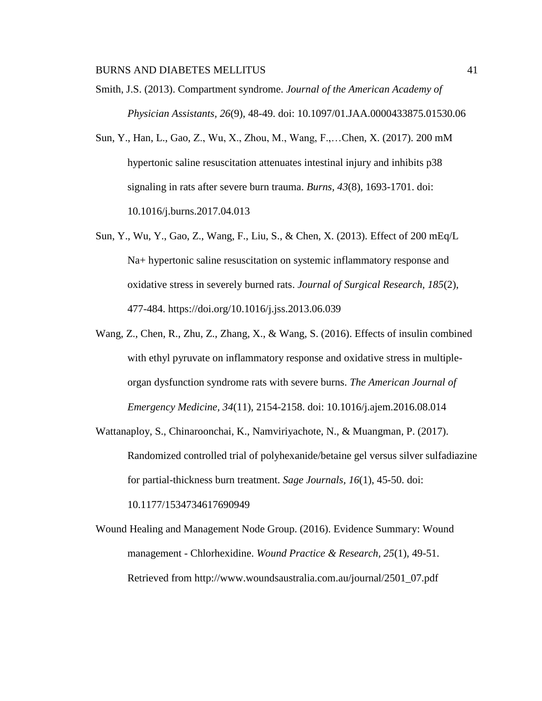Smith, J.S. (2013). Compartment syndrome. *Journal of the American Academy of Physician Assistants, 26*(9), 48-49. doi: 10.1097/01.JAA.0000433875.01530.06

- Sun, Y., Han, L., Gao, Z., Wu, X., Zhou, M., Wang, F.,…Chen, X. (2017). 200 mM hypertonic saline resuscitation attenuates intestinal injury and inhibits p38 signaling in rats after severe burn trauma. *Burns, 43*(8), 1693-1701. doi: 10.1016/j.burns.2017.04.013
- Sun, Y., Wu, Y., Gao, Z., Wang, F., Liu, S., & Chen, X. (2013). Effect of 200 mEq/L Na+ hypertonic saline resuscitation on systemic inflammatory response and oxidative stress in severely burned rats. *Journal of Surgical Research, 185*(2), 477-484. https://doi.org/10.1016/j.jss.2013.06.039
- Wang, Z., Chen, R., Zhu, Z., Zhang, X., & Wang, S. (2016). Effects of insulin combined with ethyl pyruvate on inflammatory response and oxidative stress in multipleorgan dysfunction syndrome rats with severe burns. *The American Journal of Emergency Medicine, 34*(11), 2154-2158. doi: 10.1016/j.ajem.2016.08.014
- Wattanaploy, S., Chinaroonchai, K., Namviriyachote, N., & Muangman, P. (2017). Randomized controlled trial of polyhexanide/betaine gel versus silver sulfadiazine for partial-thickness burn treatment. *Sage Journals, 16*(1), 45-50. doi: 10.1177/1534734617690949
- Wound Healing and Management Node Group. (2016). Evidence Summary: Wound management - Chlorhexidine. *Wound Practice & Research, 25*(1), 49-51. Retrieved from http://www.woundsaustralia.com.au/journal/2501\_07.pdf